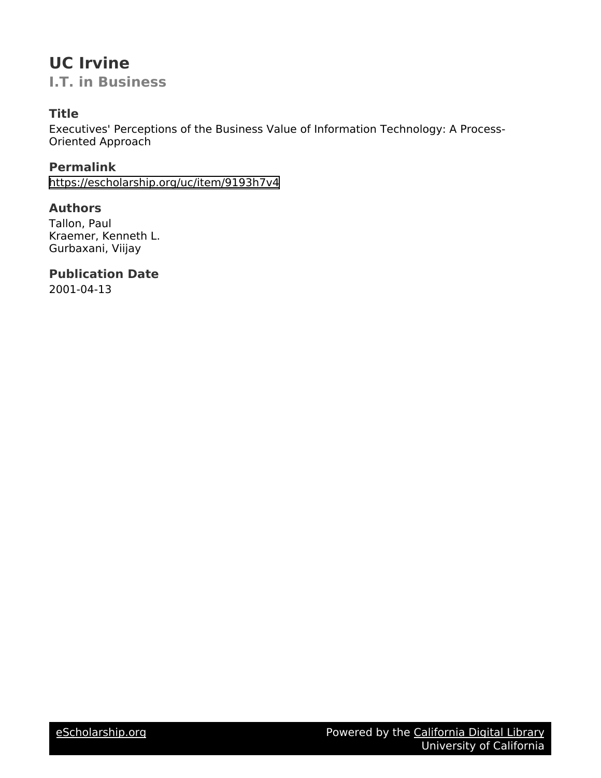# **UC Irvine**

**I.T. in Business**

# **Title**

Executives' Perceptions of the Business Value of Information Technology: A Process-Oriented Approach

**Permalink** <https://escholarship.org/uc/item/9193h7v4>

**Authors** Tallon, Paul Kraemer, Kenneth L. Gurbaxani, Viijay

**Publication Date**

2001-04-13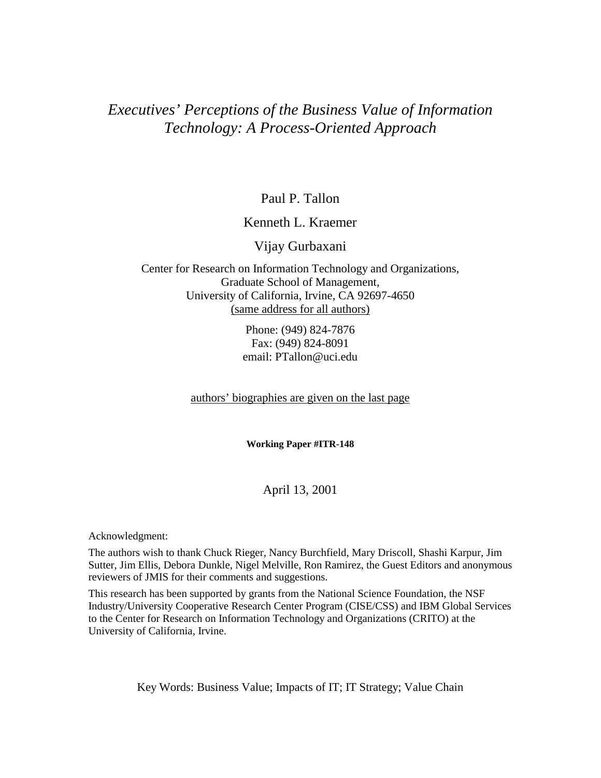# *Executives' Perceptions of the Business Value of Information Technology: A Process-Oriented Approach*

Paul P. Tallon

# Kenneth L. Kraemer

Vijay Gurbaxani

Center for Research on Information Technology and Organizations, Graduate School of Management, University of California, Irvine, CA 92697-4650 (same address for all authors)

> Phone: (949) 824-7876 Fax: (949) 824-8091 email: PTallon@uci.edu

authors' biographies are given on the last page

**Working Paper #ITR-148** 

April 13, 2001

Acknowledgment:

The authors wish to thank Chuck Rieger, Nancy Burchfield, Mary Driscoll, Shashi Karpur, Jim Sutter, Jim Ellis, Debora Dunkle, Nigel Melville, Ron Ramirez, the Guest Editors and anonymous reviewers of JMIS for their comments and suggestions.

This research has been supported by grants from the National Science Foundation, the NSF Industry/University Cooperative Research Center Program (CISE/CSS) and IBM Global Services to the Center for Research on Information Technology and Organizations (CRITO) at the University of California, Irvine.

Key Words: Business Value; Impacts of IT; IT Strategy; Value Chain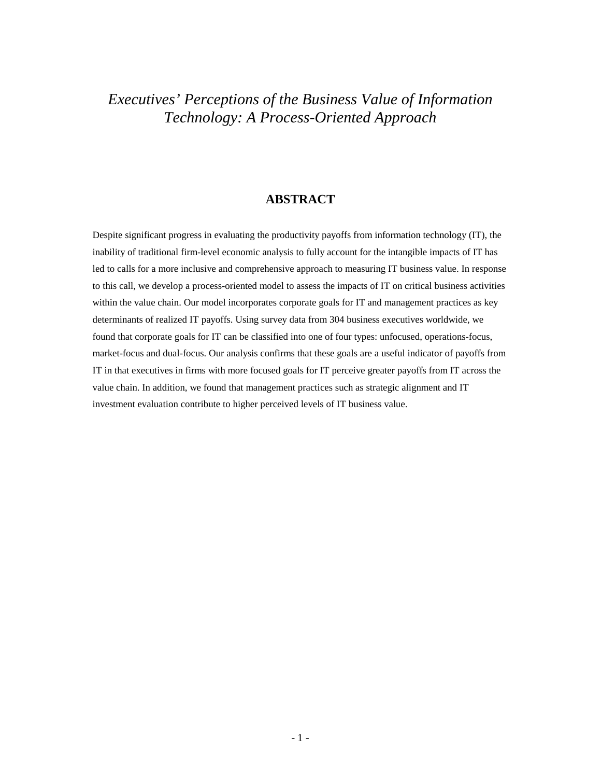# *Executives' Perceptions of the Business Value of Information Technology: A Process-Oriented Approach*

# **ABSTRACT**

Despite significant progress in evaluating the productivity payoffs from information technology (IT), the inability of traditional firm-level economic analysis to fully account for the intangible impacts of IT has led to calls for a more inclusive and comprehensive approach to measuring IT business value. In response to this call, we develop a process-oriented model to assess the impacts of IT on critical business activities within the value chain. Our model incorporates corporate goals for IT and management practices as key determinants of realized IT payoffs. Using survey data from 304 business executives worldwide, we found that corporate goals for IT can be classified into one of four types: unfocused, operations-focus, market-focus and dual-focus. Our analysis confirms that these goals are a useful indicator of payoffs from IT in that executives in firms with more focused goals for IT perceive greater payoffs from IT across the value chain. In addition, we found that management practices such as strategic alignment and IT investment evaluation contribute to higher perceived levels of IT business value.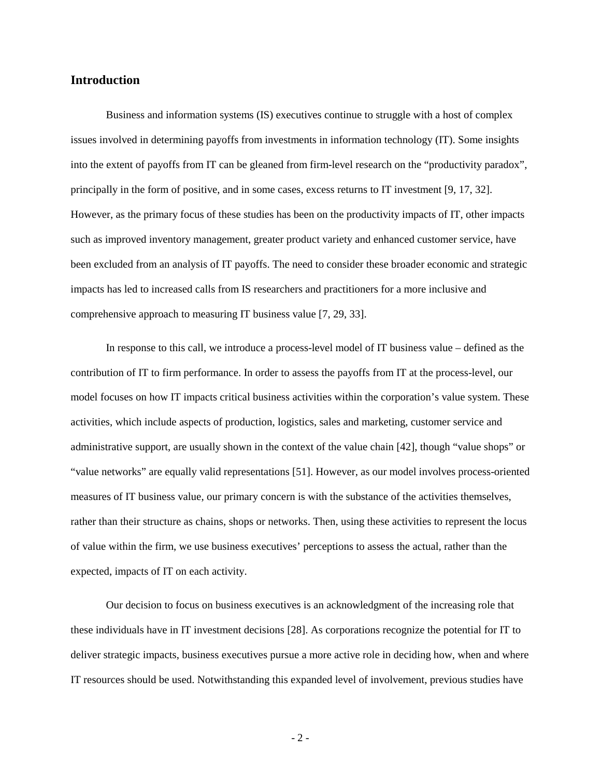# **Introduction**

Business and information systems (IS) executives continue to struggle with a host of complex issues involved in determining payoffs from investments in information technology (IT). Some insights into the extent of payoffs from IT can be gleaned from firm-level research on the "productivity paradox", principally in the form of positive, and in some cases, excess returns to IT investment [9, 17, 32]. However, as the primary focus of these studies has been on the productivity impacts of IT, other impacts such as improved inventory management, greater product variety and enhanced customer service, have been excluded from an analysis of IT payoffs. The need to consider these broader economic and strategic impacts has led to increased calls from IS researchers and practitioners for a more inclusive and comprehensive approach to measuring IT business value [7, 29, 33].

In response to this call, we introduce a process-level model of IT business value – defined as the contribution of IT to firm performance. In order to assess the payoffs from IT at the process-level, our model focuses on how IT impacts critical business activities within the corporation's value system. These activities, which include aspects of production, logistics, sales and marketing, customer service and administrative support, are usually shown in the context of the value chain [42], though "value shops" or "value networks" are equally valid representations [51]. However, as our model involves process-oriented measures of IT business value, our primary concern is with the substance of the activities themselves, rather than their structure as chains, shops or networks. Then, using these activities to represent the locus of value within the firm, we use business executives' perceptions to assess the actual, rather than the expected, impacts of IT on each activity.

Our decision to focus on business executives is an acknowledgment of the increasing role that these individuals have in IT investment decisions [28]. As corporations recognize the potential for IT to deliver strategic impacts, business executives pursue a more active role in deciding how, when and where IT resources should be used. Notwithstanding this expanded level of involvement, previous studies have

- 2 -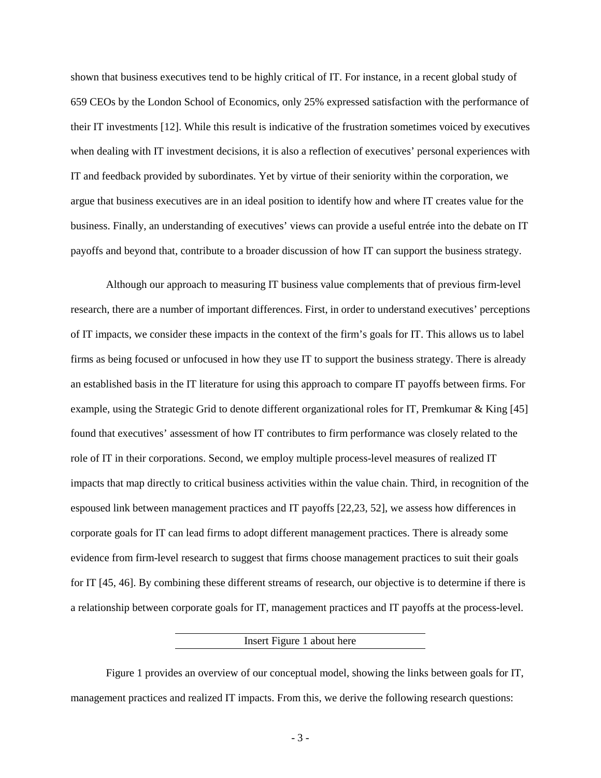shown that business executives tend to be highly critical of IT. For instance, in a recent global study of 659 CEOs by the London School of Economics, only 25% expressed satisfaction with the performance of their IT investments [12]. While this result is indicative of the frustration sometimes voiced by executives when dealing with IT investment decisions, it is also a reflection of executives' personal experiences with IT and feedback provided by subordinates. Yet by virtue of their seniority within the corporation, we argue that business executives are in an ideal position to identify how and where IT creates value for the business. Finally, an understanding of executives' views can provide a useful entrée into the debate on IT payoffs and beyond that, contribute to a broader discussion of how IT can support the business strategy.

Although our approach to measuring IT business value complements that of previous firm-level research, there are a number of important differences. First, in order to understand executives' perceptions of IT impacts, we consider these impacts in the context of the firm's goals for IT. This allows us to label firms as being focused or unfocused in how they use IT to support the business strategy. There is already an established basis in the IT literature for using this approach to compare IT payoffs between firms. For example, using the Strategic Grid to denote different organizational roles for IT, Premkumar & King [45] found that executives' assessment of how IT contributes to firm performance was closely related to the role of IT in their corporations. Second, we employ multiple process-level measures of realized IT impacts that map directly to critical business activities within the value chain. Third, in recognition of the espoused link between management practices and IT payoffs [22,23, 52], we assess how differences in corporate goals for IT can lead firms to adopt different management practices. There is already some evidence from firm-level research to suggest that firms choose management practices to suit their goals for IT [45, 46]. By combining these different streams of research, our objective is to determine if there is a relationship between corporate goals for IT, management practices and IT payoffs at the process-level.

#### Insert Figure 1 about here

Figure 1 provides an overview of our conceptual model, showing the links between goals for IT, management practices and realized IT impacts. From this, we derive the following research questions: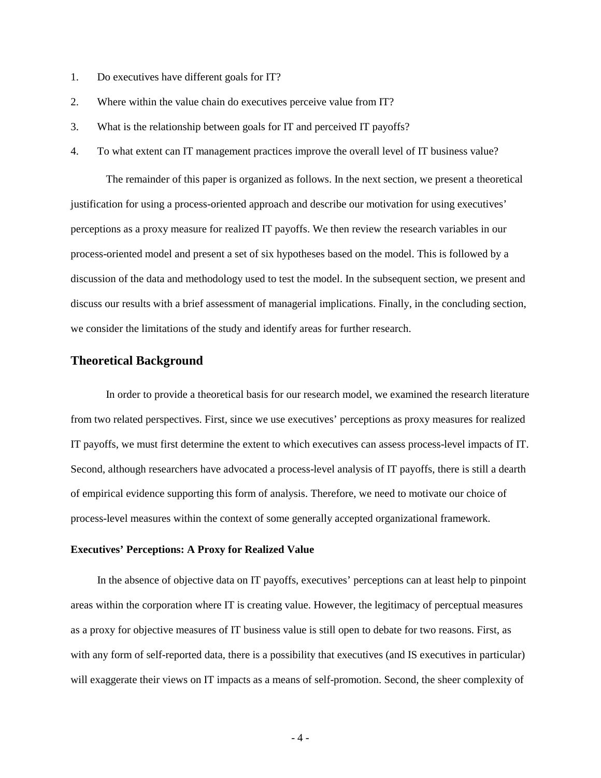- 1. Do executives have different goals for IT?
- 2. Where within the value chain do executives perceive value from IT?
- 3. What is the relationship between goals for IT and perceived IT payoffs?
- 4. To what extent can IT management practices improve the overall level of IT business value?

The remainder of this paper is organized as follows. In the next section, we present a theoretical justification for using a process-oriented approach and describe our motivation for using executives' perceptions as a proxy measure for realized IT payoffs. We then review the research variables in our process-oriented model and present a set of six hypotheses based on the model. This is followed by a discussion of the data and methodology used to test the model. In the subsequent section, we present and discuss our results with a brief assessment of managerial implications. Finally, in the concluding section, we consider the limitations of the study and identify areas for further research.

### **Theoretical Background**

In order to provide a theoretical basis for our research model, we examined the research literature from two related perspectives. First, since we use executives' perceptions as proxy measures for realized IT payoffs, we must first determine the extent to which executives can assess process-level impacts of IT. Second, although researchers have advocated a process-level analysis of IT payoffs, there is still a dearth of empirical evidence supporting this form of analysis. Therefore, we need to motivate our choice of process-level measures within the context of some generally accepted organizational framework.

#### **Executives' Perceptions: A Proxy for Realized Value**

 In the absence of objective data on IT payoffs, executives' perceptions can at least help to pinpoint areas within the corporation where IT is creating value. However, the legitimacy of perceptual measures as a proxy for objective measures of IT business value is still open to debate for two reasons. First, as with any form of self-reported data, there is a possibility that executives (and IS executives in particular) will exaggerate their views on IT impacts as a means of self-promotion. Second, the sheer complexity of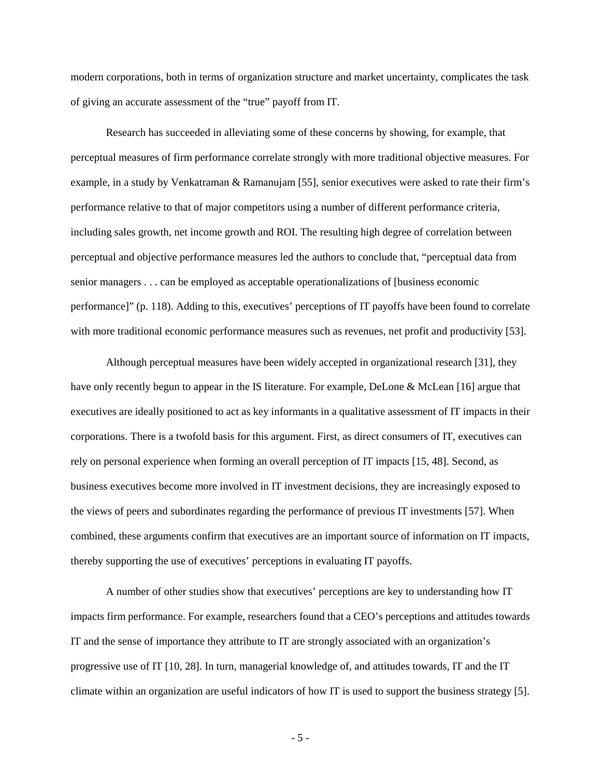modern corporations, both in terms of organization structure and market uncertainty, complicates the task of giving an accurate assessment of the "true" payoff from IT.

 Research has succeeded in alleviating some of these concerns by showing, for example, that perceptual measures of firm performance correlate strongly with more traditional objective measures. For example, in a study by Venkatraman & Ramanujam [55], senior executives were asked to rate their firm's performance relative to that of major competitors using a number of different performance criteria, including sales growth, net income growth and ROI. The resulting high degree of correlation between perceptual and objective performance measures led the authors to conclude that, "perceptual data from senior managers . . . can be employed as acceptable operationalizations of [business economic performance]" (p. 118). Adding to this, executives' perceptions of IT payoffs have been found to correlate with more traditional economic performance measures such as revenues, net profit and productivity [53].

 Although perceptual measures have been widely accepted in organizational research [31], they have only recently begun to appear in the IS literature. For example, DeLone & McLean [16] argue that executives are ideally positioned to act as key informants in a qualitative assessment of IT impacts in their corporations. There is a twofold basis for this argument. First, as direct consumers of IT, executives can rely on personal experience when forming an overall perception of IT impacts [15, 48]. Second, as business executives become more involved in IT investment decisions, they are increasingly exposed to the views of peers and subordinates regarding the performance of previous IT investments [57]. When combined, these arguments confirm that executives are an important source of information on IT impacts, thereby supporting the use of executives' perceptions in evaluating IT payoffs.

 A number of other studies show that executives' perceptions are key to understanding how IT impacts firm performance. For example, researchers found that a CEO's perceptions and attitudes towards IT and the sense of importance they attribute to IT are strongly associated with an organization's progressive use of IT [10, 28]. In turn, managerial knowledge of, and attitudes towards, IT and the IT climate within an organization are useful indicators of how IT is used to support the business strategy [5].

- 5 -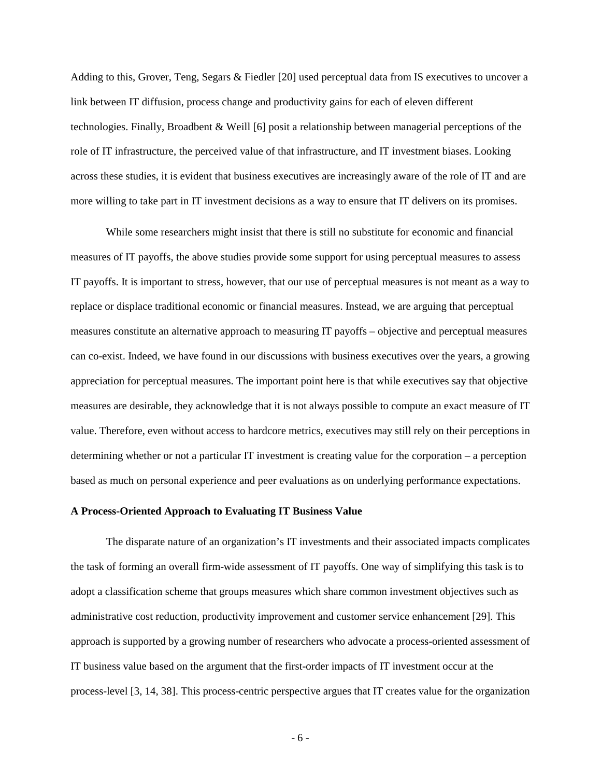Adding to this, Grover, Teng, Segars & Fiedler [20] used perceptual data from IS executives to uncover a link between IT diffusion, process change and productivity gains for each of eleven different technologies. Finally, Broadbent & Weill [6] posit a relationship between managerial perceptions of the role of IT infrastructure, the perceived value of that infrastructure, and IT investment biases. Looking across these studies, it is evident that business executives are increasingly aware of the role of IT and are more willing to take part in IT investment decisions as a way to ensure that IT delivers on its promises.

 While some researchers might insist that there is still no substitute for economic and financial measures of IT payoffs, the above studies provide some support for using perceptual measures to assess IT payoffs. It is important to stress, however, that our use of perceptual measures is not meant as a way to replace or displace traditional economic or financial measures. Instead, we are arguing that perceptual measures constitute an alternative approach to measuring IT payoffs – objective and perceptual measures can co-exist. Indeed, we have found in our discussions with business executives over the years, a growing appreciation for perceptual measures. The important point here is that while executives say that objective measures are desirable, they acknowledge that it is not always possible to compute an exact measure of IT value. Therefore, even without access to hardcore metrics, executives may still rely on their perceptions in determining whether or not a particular IT investment is creating value for the corporation – a perception based as much on personal experience and peer evaluations as on underlying performance expectations.

#### **A Process-Oriented Approach to Evaluating IT Business Value**

The disparate nature of an organization's IT investments and their associated impacts complicates the task of forming an overall firm-wide assessment of IT payoffs. One way of simplifying this task is to adopt a classification scheme that groups measures which share common investment objectives such as administrative cost reduction, productivity improvement and customer service enhancement [29]. This approach is supported by a growing number of researchers who advocate a process-oriented assessment of IT business value based on the argument that the first-order impacts of IT investment occur at the process-level [3, 14, 38]. This process-centric perspective argues that IT creates value for the organization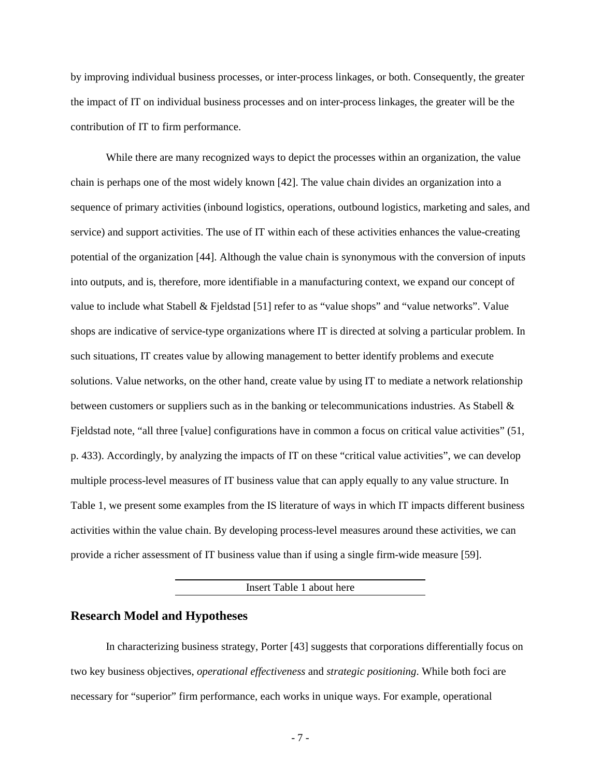by improving individual business processes, or inter-process linkages, or both. Consequently, the greater the impact of IT on individual business processes and on inter-process linkages, the greater will be the contribution of IT to firm performance.

While there are many recognized ways to depict the processes within an organization, the value chain is perhaps one of the most widely known [42]. The value chain divides an organization into a sequence of primary activities (inbound logistics, operations, outbound logistics, marketing and sales, and service) and support activities. The use of IT within each of these activities enhances the value-creating potential of the organization [44]. Although the value chain is synonymous with the conversion of inputs into outputs, and is, therefore, more identifiable in a manufacturing context, we expand our concept of value to include what Stabell & Fjeldstad [51] refer to as "value shops" and "value networks". Value shops are indicative of service-type organizations where IT is directed at solving a particular problem. In such situations, IT creates value by allowing management to better identify problems and execute solutions. Value networks, on the other hand, create value by using IT to mediate a network relationship between customers or suppliers such as in the banking or telecommunications industries. As Stabell & Fjeldstad note, "all three [value] configurations have in common a focus on critical value activities" (51, p. 433). Accordingly, by analyzing the impacts of IT on these "critical value activities", we can develop multiple process-level measures of IT business value that can apply equally to any value structure. In Table 1, we present some examples from the IS literature of ways in which IT impacts different business activities within the value chain. By developing process-level measures around these activities, we can provide a richer assessment of IT business value than if using a single firm-wide measure [59].

Insert Table 1 about here

# **Research Model and Hypotheses**

In characterizing business strategy, Porter [43] suggests that corporations differentially focus on two key business objectives, *operational effectiveness* and *strategic positioning*. While both foci are necessary for "superior" firm performance, each works in unique ways. For example, operational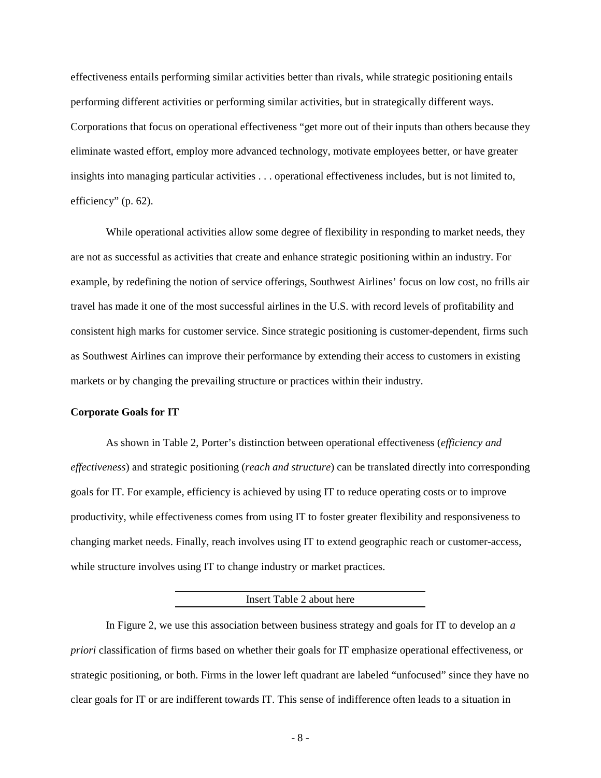effectiveness entails performing similar activities better than rivals, while strategic positioning entails performing different activities or performing similar activities, but in strategically different ways. Corporations that focus on operational effectiveness "get more out of their inputs than others because they eliminate wasted effort, employ more advanced technology, motivate employees better, or have greater insights into managing particular activities . . . operational effectiveness includes, but is not limited to, efficiency" (p. 62).

While operational activities allow some degree of flexibility in responding to market needs, they are not as successful as activities that create and enhance strategic positioning within an industry. For example, by redefining the notion of service offerings, Southwest Airlines' focus on low cost, no frills air travel has made it one of the most successful airlines in the U.S. with record levels of profitability and consistent high marks for customer service. Since strategic positioning is customer-dependent, firms such as Southwest Airlines can improve their performance by extending their access to customers in existing markets or by changing the prevailing structure or practices within their industry.

#### **Corporate Goals for IT**

As shown in Table 2, Porter's distinction between operational effectiveness (*efficiency and effectiveness*) and strategic positioning (*reach and structure*) can be translated directly into corresponding goals for IT. For example, efficiency is achieved by using IT to reduce operating costs or to improve productivity, while effectiveness comes from using IT to foster greater flexibility and responsiveness to changing market needs. Finally, reach involves using IT to extend geographic reach or customer-access, while structure involves using IT to change industry or market practices.

#### Insert Table 2 about here

In Figure 2, we use this association between business strategy and goals for IT to develop an *a priori* classification of firms based on whether their goals for IT emphasize operational effectiveness, or strategic positioning, or both. Firms in the lower left quadrant are labeled "unfocused" since they have no clear goals for IT or are indifferent towards IT. This sense of indifference often leads to a situation in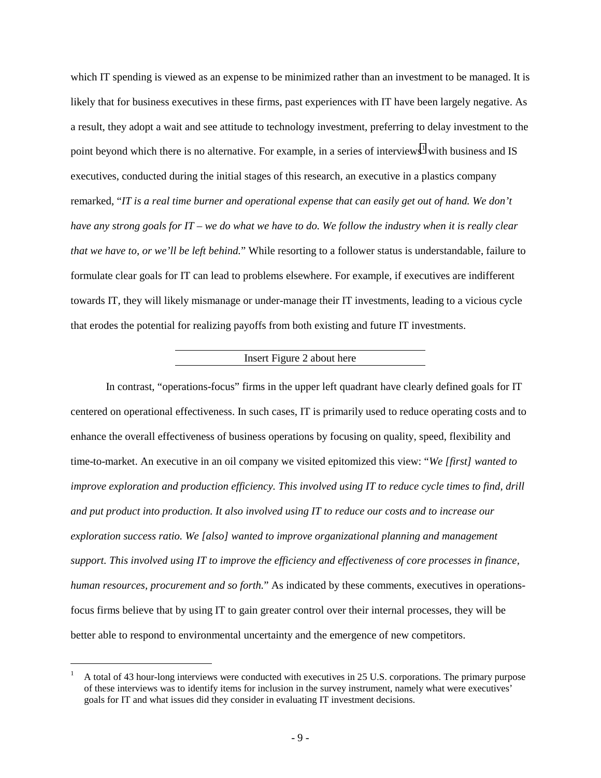which IT spending is viewed as an expense to be minimized rather than an investment to be managed. It is likely that for business executives in these firms, past experiences with IT have been largely negative. As a result, they adopt a wait and see attitude to technology investment, preferring to delay investment to the point beyond which there is no alternative. For example, in a series of interviews<sup>1</sup> with business and IS executives, conducted during the initial stages of this research, an executive in a plastics company remarked, "*IT is a real time burner and operational expense that can easily get out of hand. We don't have any strong goals for IT – we do what we have to do. We follow the industry when it is really clear that we have to, or we'll be left behind.*" While resorting to a follower status is understandable, failure to formulate clear goals for IT can lead to problems elsewhere. For example, if executives are indifferent towards IT, they will likely mismanage or under-manage their IT investments, leading to a vicious cycle that erodes the potential for realizing payoffs from both existing and future IT investments.

#### Insert Figure 2 about here

In contrast, "operations-focus" firms in the upper left quadrant have clearly defined goals for IT centered on operational effectiveness. In such cases, IT is primarily used to reduce operating costs and to enhance the overall effectiveness of business operations by focusing on quality, speed, flexibility and time-to-market. An executive in an oil company we visited epitomized this view: "*We [first] wanted to improve exploration and production efficiency. This involved using IT to reduce cycle times to find, drill and put product into production. It also involved using IT to reduce our costs and to increase our exploration success ratio. We [also] wanted to improve organizational planning and management support. This involved using IT to improve the efficiency and effectiveness of core processes in finance, human resources, procurement and so forth.*" As indicated by these comments, executives in operationsfocus firms believe that by using IT to gain greater control over their internal processes, they will be better able to respond to environmental uncertainty and the emergence of new competitors.

 $\overline{a}$ 

<sup>1</sup> A total of 43 hour-long interviews were conducted with executives in 25 U.S. corporations. The primary purpose of these interviews was to identify items for inclusion in the survey instrument, namely what were executives' goals for IT and what issues did they consider in evaluating IT investment decisions.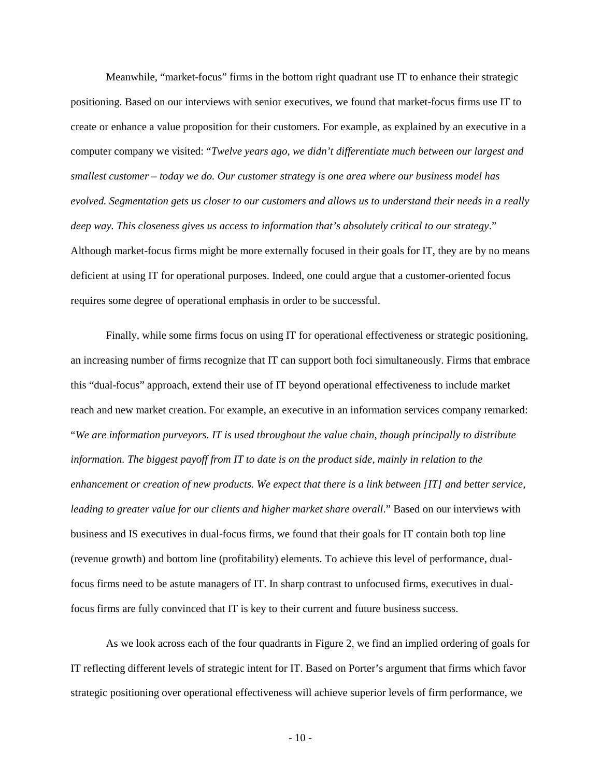Meanwhile, "market-focus" firms in the bottom right quadrant use IT to enhance their strategic positioning. Based on our interviews with senior executives, we found that market-focus firms use IT to create or enhance a value proposition for their customers. For example, as explained by an executive in a computer company we visited: "*Twelve years ago, we didn't differentiate much between our largest and smallest customer – today we do. Our customer strategy is one area where our business model has evolved. Segmentation gets us closer to our customers and allows us to understand their needs in a really deep way. This closeness gives us access to information that's absolutely critical to our strategy*." Although market-focus firms might be more externally focused in their goals for IT, they are by no means deficient at using IT for operational purposes. Indeed, one could argue that a customer-oriented focus requires some degree of operational emphasis in order to be successful.

Finally, while some firms focus on using IT for operational effectiveness or strategic positioning, an increasing number of firms recognize that IT can support both foci simultaneously. Firms that embrace this "dual-focus" approach, extend their use of IT beyond operational effectiveness to include market reach and new market creation. For example, an executive in an information services company remarked: "*We are information purveyors. IT is used throughout the value chain, though principally to distribute information. The biggest payoff from IT to date is on the product side, mainly in relation to the enhancement or creation of new products. We expect that there is a link between [IT] and better service, leading to greater value for our clients and higher market share overall*." Based on our interviews with business and IS executives in dual-focus firms, we found that their goals for IT contain both top line (revenue growth) and bottom line (profitability) elements. To achieve this level of performance, dualfocus firms need to be astute managers of IT. In sharp contrast to unfocused firms, executives in dualfocus firms are fully convinced that IT is key to their current and future business success.

As we look across each of the four quadrants in Figure 2, we find an implied ordering of goals for IT reflecting different levels of strategic intent for IT. Based on Porter's argument that firms which favor strategic positioning over operational effectiveness will achieve superior levels of firm performance, we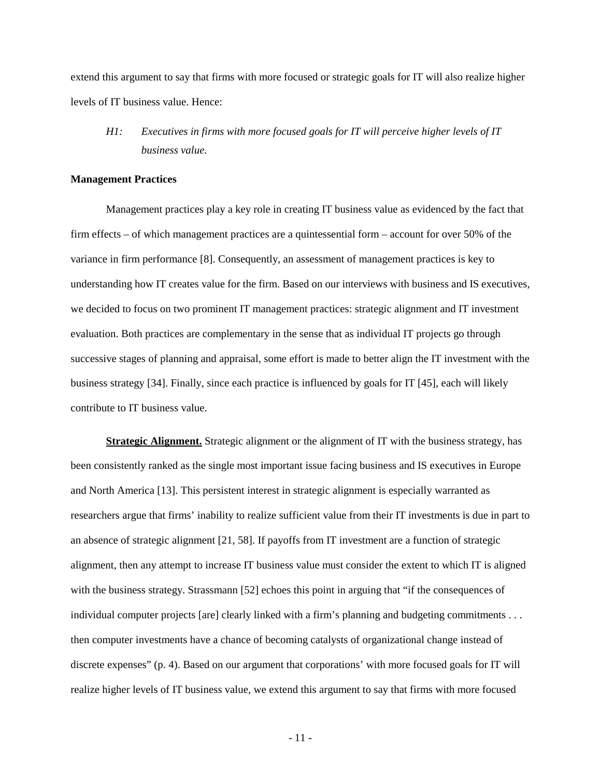extend this argument to say that firms with more focused or strategic goals for IT will also realize higher levels of IT business value. Hence:

*H1: Executives in firms with more focused goals for IT will perceive higher levels of IT business value.* 

#### **Management Practices**

Management practices play a key role in creating IT business value as evidenced by the fact that firm effects – of which management practices are a quintessential form – account for over 50% of the variance in firm performance [8]. Consequently, an assessment of management practices is key to understanding how IT creates value for the firm. Based on our interviews with business and IS executives, we decided to focus on two prominent IT management practices: strategic alignment and IT investment evaluation. Both practices are complementary in the sense that as individual IT projects go through successive stages of planning and appraisal, some effort is made to better align the IT investment with the business strategy [34]. Finally, since each practice is influenced by goals for IT [45], each will likely contribute to IT business value.

**Strategic Alignment.** Strategic alignment or the alignment of IT with the business strategy, has been consistently ranked as the single most important issue facing business and IS executives in Europe and North America [13]. This persistent interest in strategic alignment is especially warranted as researchers argue that firms' inability to realize sufficient value from their IT investments is due in part to an absence of strategic alignment [21, 58]. If payoffs from IT investment are a function of strategic alignment, then any attempt to increase IT business value must consider the extent to which IT is aligned with the business strategy. Strassmann [52] echoes this point in arguing that "if the consequences of individual computer projects [are] clearly linked with a firm's planning and budgeting commitments . . . then computer investments have a chance of becoming catalysts of organizational change instead of discrete expenses" (p. 4). Based on our argument that corporations' with more focused goals for IT will realize higher levels of IT business value, we extend this argument to say that firms with more focused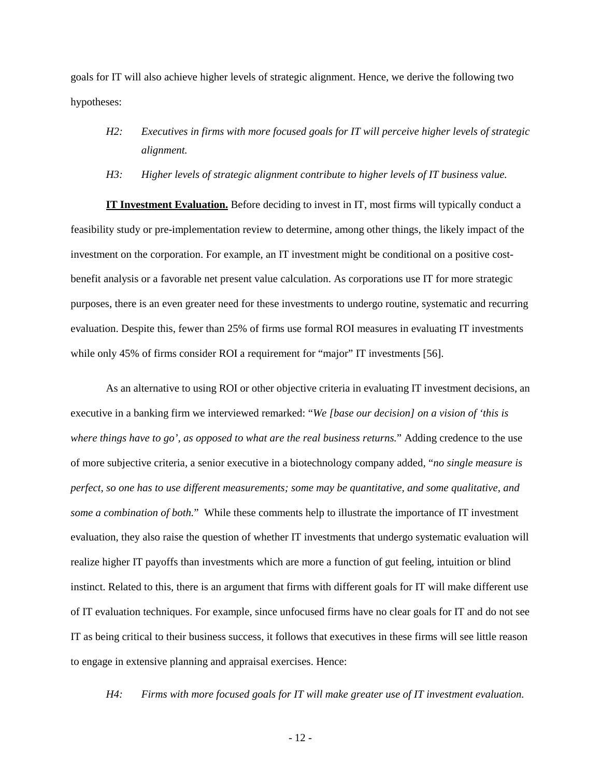goals for IT will also achieve higher levels of strategic alignment. Hence, we derive the following two hypotheses:

- *H2: Executives in firms with more focused goals for IT will perceive higher levels of strategic alignment.*
- *H3: Higher levels of strategic alignment contribute to higher levels of IT business value.*

**IT Investment Evaluation.** Before deciding to invest in IT, most firms will typically conduct a feasibility study or pre-implementation review to determine, among other things, the likely impact of the investment on the corporation. For example, an IT investment might be conditional on a positive costbenefit analysis or a favorable net present value calculation. As corporations use IT for more strategic purposes, there is an even greater need for these investments to undergo routine, systematic and recurring evaluation. Despite this, fewer than 25% of firms use formal ROI measures in evaluating IT investments while only 45% of firms consider ROI a requirement for "major" IT investments [56].

As an alternative to using ROI or other objective criteria in evaluating IT investment decisions, an executive in a banking firm we interviewed remarked: "*We [base our decision] on a vision of 'this is where things have to go', as opposed to what are the real business returns.*" Adding credence to the use of more subjective criteria, a senior executive in a biotechnology company added, "*no single measure is perfect, so one has to use different measurements; some may be quantitative, and some qualitative, and some a combination of both.*" While these comments help to illustrate the importance of IT investment evaluation, they also raise the question of whether IT investments that undergo systematic evaluation will realize higher IT payoffs than investments which are more a function of gut feeling, intuition or blind instinct. Related to this, there is an argument that firms with different goals for IT will make different use of IT evaluation techniques. For example, since unfocused firms have no clear goals for IT and do not see IT as being critical to their business success, it follows that executives in these firms will see little reason to engage in extensive planning and appraisal exercises. Hence:

*H4: Firms with more focused goals for IT will make greater use of IT investment evaluation.*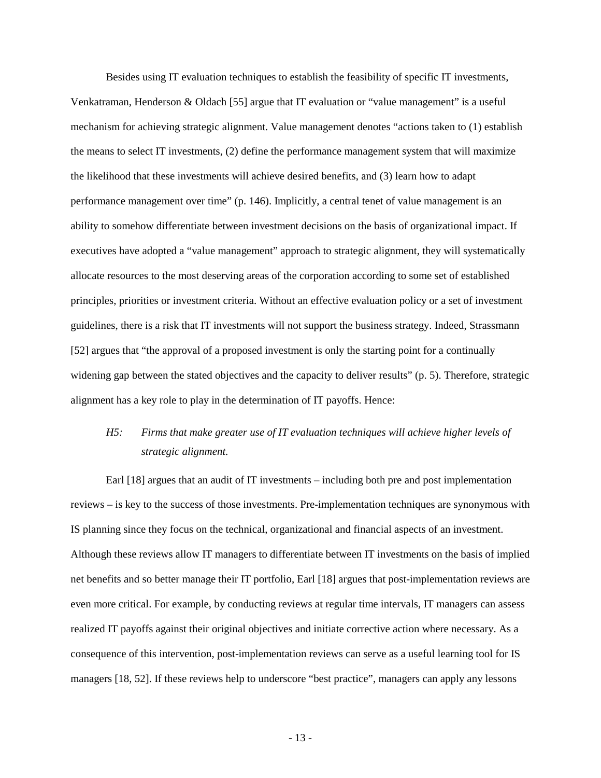Besides using IT evaluation techniques to establish the feasibility of specific IT investments,

Venkatraman, Henderson & Oldach [55] argue that IT evaluation or "value management" is a useful mechanism for achieving strategic alignment. Value management denotes "actions taken to (1) establish the means to select IT investments, (2) define the performance management system that will maximize the likelihood that these investments will achieve desired benefits, and (3) learn how to adapt performance management over time" (p. 146). Implicitly, a central tenet of value management is an ability to somehow differentiate between investment decisions on the basis of organizational impact. If executives have adopted a "value management" approach to strategic alignment, they will systematically allocate resources to the most deserving areas of the corporation according to some set of established principles, priorities or investment criteria. Without an effective evaluation policy or a set of investment guidelines, there is a risk that IT investments will not support the business strategy. Indeed, Strassmann [52] argues that "the approval of a proposed investment is only the starting point for a continually widening gap between the stated objectives and the capacity to deliver results" (p. 5). Therefore, strategic alignment has a key role to play in the determination of IT payoffs. Hence:

# *H5: Firms that make greater use of IT evaluation techniques will achieve higher levels of strategic alignment.*

Earl [18] argues that an audit of IT investments – including both pre and post implementation reviews – is key to the success of those investments. Pre-implementation techniques are synonymous with IS planning since they focus on the technical, organizational and financial aspects of an investment. Although these reviews allow IT managers to differentiate between IT investments on the basis of implied net benefits and so better manage their IT portfolio, Earl [18] argues that post-implementation reviews are even more critical. For example, by conducting reviews at regular time intervals, IT managers can assess realized IT payoffs against their original objectives and initiate corrective action where necessary. As a consequence of this intervention, post-implementation reviews can serve as a useful learning tool for IS managers [18, 52]. If these reviews help to underscore "best practice", managers can apply any lessons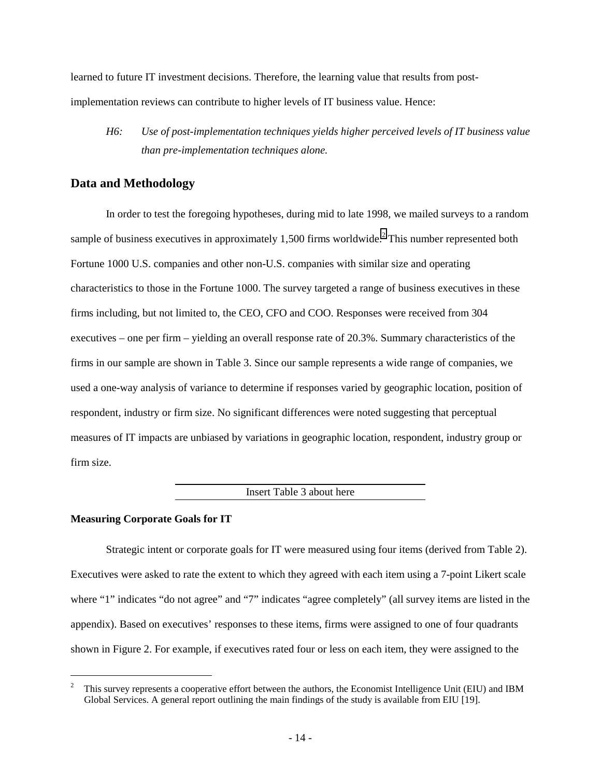learned to future IT investment decisions. Therefore, the learning value that results from postimplementation reviews can contribute to higher levels of IT business value. Hence:

*H6: Use of post-implementation techniques yields higher perceived levels of IT business value than pre-implementation techniques alone.* 

# **Data and Methodology**

In order to test the foregoing hypotheses, during mid to late 1998, we mailed surveys to a random sample of business executives in approximately 1,500 firms worldwide.<sup>2</sup> This number represented both Fortune 1000 U.S. companies and other non-U.S. companies with similar size and operating characteristics to those in the Fortune 1000. The survey targeted a range of business executives in these firms including, but not limited to, the CEO, CFO and COO. Responses were received from 304 executives – one per firm – yielding an overall response rate of 20.3%. Summary characteristics of the firms in our sample are shown in Table 3. Since our sample represents a wide range of companies, we used a one-way analysis of variance to determine if responses varied by geographic location, position of respondent, industry or firm size. No significant differences were noted suggesting that perceptual measures of IT impacts are unbiased by variations in geographic location, respondent, industry group or firm size.

Insert Table 3 about here

### **Measuring Corporate Goals for IT**

 $\overline{a}$ 

 Strategic intent or corporate goals for IT were measured using four items (derived from Table 2). Executives were asked to rate the extent to which they agreed with each item using a 7-point Likert scale where "1" indicates "do not agree" and "7" indicates "agree completely" (all survey items are listed in the appendix). Based on executives' responses to these items, firms were assigned to one of four quadrants shown in Figure 2. For example, if executives rated four or less on each item, they were assigned to the

<sup>2</sup> This survey represents a cooperative effort between the authors, the Economist Intelligence Unit (EIU) and IBM Global Services. A general report outlining the main findings of the study is available from EIU [19].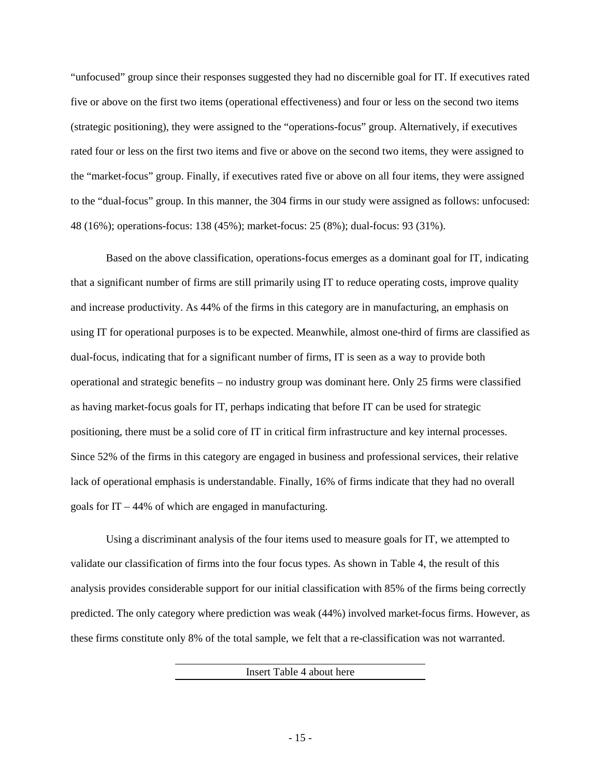"unfocused" group since their responses suggested they had no discernible goal for IT. If executives rated five or above on the first two items (operational effectiveness) and four or less on the second two items (strategic positioning), they were assigned to the "operations-focus" group. Alternatively, if executives rated four or less on the first two items and five or above on the second two items, they were assigned to the "market-focus" group. Finally, if executives rated five or above on all four items, they were assigned to the "dual-focus" group. In this manner, the 304 firms in our study were assigned as follows: unfocused: 48 (16%); operations-focus: 138 (45%); market-focus: 25 (8%); dual-focus: 93 (31%).

 Based on the above classification, operations-focus emerges as a dominant goal for IT, indicating that a significant number of firms are still primarily using IT to reduce operating costs, improve quality and increase productivity. As 44% of the firms in this category are in manufacturing, an emphasis on using IT for operational purposes is to be expected. Meanwhile, almost one-third of firms are classified as dual-focus, indicating that for a significant number of firms, IT is seen as a way to provide both operational and strategic benefits – no industry group was dominant here. Only 25 firms were classified as having market-focus goals for IT, perhaps indicating that before IT can be used for strategic positioning, there must be a solid core of IT in critical firm infrastructure and key internal processes. Since 52% of the firms in this category are engaged in business and professional services, their relative lack of operational emphasis is understandable. Finally, 16% of firms indicate that they had no overall goals for IT – 44% of which are engaged in manufacturing.

 Using a discriminant analysis of the four items used to measure goals for IT, we attempted to validate our classification of firms into the four focus types. As shown in Table 4, the result of this analysis provides considerable support for our initial classification with 85% of the firms being correctly predicted. The only category where prediction was weak (44%) involved market-focus firms. However, as these firms constitute only 8% of the total sample, we felt that a re-classification was not warranted.

Insert Table 4 about here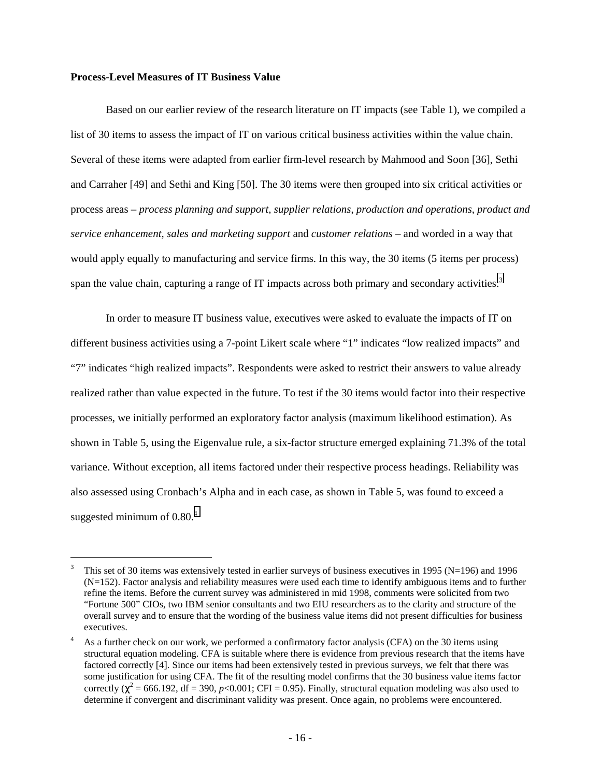#### **Process-Level Measures of IT Business Value**

 $\overline{a}$ 

Based on our earlier review of the research literature on IT impacts (see Table 1), we compiled a list of 30 items to assess the impact of IT on various critical business activities within the value chain. Several of these items were adapted from earlier firm-level research by Mahmood and Soon [36], Sethi and Carraher [49] and Sethi and King [50]. The 30 items were then grouped into six critical activities or process areas – *process planning and support*, *supplier relations*, *production and operations*, *product and service enhancement*, *sales and marketing support* and *customer relations* – and worded in a way that would apply equally to manufacturing and service firms. In this way, the 30 items (5 items per process) span the value chain, capturing a range of IT impacts across both primary and secondary activities.<sup>3</sup>

In order to measure IT business value, executives were asked to evaluate the impacts of IT on different business activities using a 7-point Likert scale where "1" indicates "low realized impacts" and "7" indicates "high realized impacts". Respondents were asked to restrict their answers to value already realized rather than value expected in the future. To test if the 30 items would factor into their respective processes, we initially performed an exploratory factor analysis (maximum likelihood estimation). As shown in Table 5, using the Eigenvalue rule, a six-factor structure emerged explaining 71.3% of the total variance. Without exception, all items factored under their respective process headings. Reliability was also assessed using Cronbach's Alpha and in each case, as shown in Table 5, was found to exceed a suggested minimum of  $0.80<sup>4</sup>$ 

<sup>3</sup> This set of 30 items was extensively tested in earlier surveys of business executives in 1995 (N=196) and 1996 (N=152). Factor analysis and reliability measures were used each time to identify ambiguous items and to further refine the items. Before the current survey was administered in mid 1998, comments were solicited from two "Fortune 500" CIOs, two IBM senior consultants and two EIU researchers as to the clarity and structure of the overall survey and to ensure that the wording of the business value items did not present difficulties for business executives.

<sup>4</sup> As a further check on our work, we performed a confirmatory factor analysis (CFA) on the 30 items using structural equation modeling. CFA is suitable where there is evidence from previous research that the items have factored correctly [4]. Since our items had been extensively tested in previous surveys, we felt that there was some justification for using CFA. The fit of the resulting model confirms that the 30 business value items factor correctly ( $\chi^2$  = 666.192, df = 390, *p*<0.001; CFI = 0.95). Finally, structural equation modeling was also used to determine if convergent and discriminant validity was present. Once again, no problems were encountered.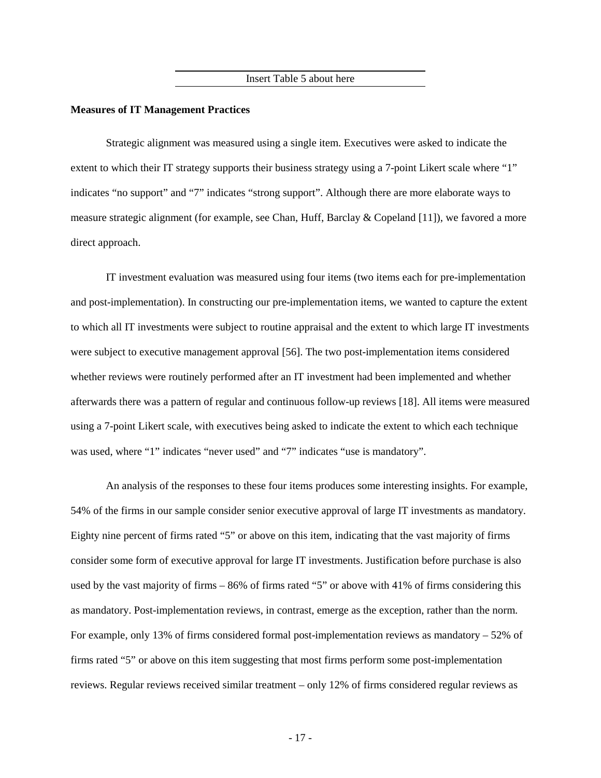Insert Table 5 about here

#### **Measures of IT Management Practices**

 Strategic alignment was measured using a single item. Executives were asked to indicate the extent to which their IT strategy supports their business strategy using a 7-point Likert scale where "1" indicates "no support" and "7" indicates "strong support". Although there are more elaborate ways to measure strategic alignment (for example, see Chan, Huff, Barclay & Copeland [11]), we favored a more direct approach.

IT investment evaluation was measured using four items (two items each for pre-implementation and post-implementation). In constructing our pre-implementation items, we wanted to capture the extent to which all IT investments were subject to routine appraisal and the extent to which large IT investments were subject to executive management approval [56]. The two post-implementation items considered whether reviews were routinely performed after an IT investment had been implemented and whether afterwards there was a pattern of regular and continuous follow-up reviews [18]. All items were measured using a 7-point Likert scale, with executives being asked to indicate the extent to which each technique was used, where "1" indicates "never used" and "7" indicates "use is mandatory".

An analysis of the responses to these four items produces some interesting insights. For example, 54% of the firms in our sample consider senior executive approval of large IT investments as mandatory. Eighty nine percent of firms rated "5" or above on this item, indicating that the vast majority of firms consider some form of executive approval for large IT investments. Justification before purchase is also used by the vast majority of firms – 86% of firms rated "5" or above with 41% of firms considering this as mandatory. Post-implementation reviews, in contrast, emerge as the exception, rather than the norm. For example, only 13% of firms considered formal post-implementation reviews as mandatory – 52% of firms rated "5" or above on this item suggesting that most firms perform some post-implementation reviews. Regular reviews received similar treatment – only 12% of firms considered regular reviews as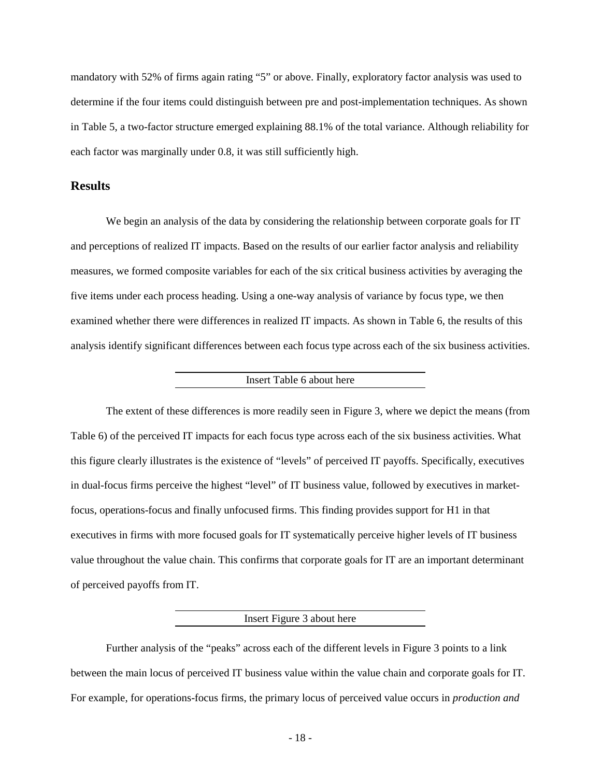mandatory with 52% of firms again rating "5" or above. Finally, exploratory factor analysis was used to determine if the four items could distinguish between pre and post-implementation techniques. As shown in Table 5, a two-factor structure emerged explaining 88.1% of the total variance. Although reliability for each factor was marginally under 0.8, it was still sufficiently high.

# **Results**

We begin an analysis of the data by considering the relationship between corporate goals for IT and perceptions of realized IT impacts. Based on the results of our earlier factor analysis and reliability measures, we formed composite variables for each of the six critical business activities by averaging the five items under each process heading. Using a one-way analysis of variance by focus type, we then examined whether there were differences in realized IT impacts. As shown in Table 6, the results of this analysis identify significant differences between each focus type across each of the six business activities.

#### Insert Table 6 about here

The extent of these differences is more readily seen in Figure 3, where we depict the means (from Table 6) of the perceived IT impacts for each focus type across each of the six business activities. What this figure clearly illustrates is the existence of "levels" of perceived IT payoffs. Specifically, executives in dual-focus firms perceive the highest "level" of IT business value, followed by executives in marketfocus, operations-focus and finally unfocused firms. This finding provides support for H1 in that executives in firms with more focused goals for IT systematically perceive higher levels of IT business value throughout the value chain. This confirms that corporate goals for IT are an important determinant of perceived payoffs from IT.

#### Insert Figure 3 about here

Further analysis of the "peaks" across each of the different levels in Figure 3 points to a link between the main locus of perceived IT business value within the value chain and corporate goals for IT. For example, for operations-focus firms, the primary locus of perceived value occurs in *production and*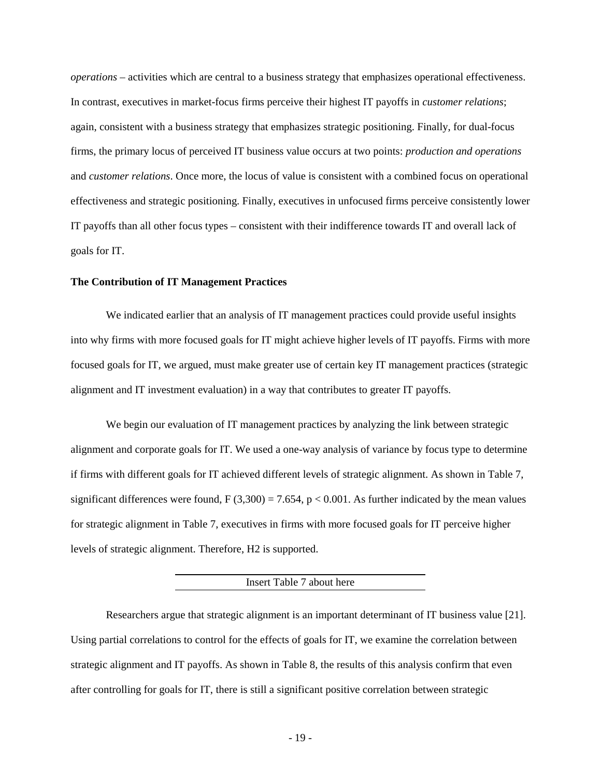*operations* – activities which are central to a business strategy that emphasizes operational effectiveness. In contrast, executives in market-focus firms perceive their highest IT payoffs in *customer relations*; again, consistent with a business strategy that emphasizes strategic positioning. Finally, for dual-focus firms, the primary locus of perceived IT business value occurs at two points: *production and operations* and *customer relations*. Once more, the locus of value is consistent with a combined focus on operational effectiveness and strategic positioning. Finally, executives in unfocused firms perceive consistently lower IT payoffs than all other focus types – consistent with their indifference towards IT and overall lack of goals for IT.

#### **The Contribution of IT Management Practices**

We indicated earlier that an analysis of IT management practices could provide useful insights into why firms with more focused goals for IT might achieve higher levels of IT payoffs. Firms with more focused goals for IT, we argued, must make greater use of certain key IT management practices (strategic alignment and IT investment evaluation) in a way that contributes to greater IT payoffs.

We begin our evaluation of IT management practices by analyzing the link between strategic alignment and corporate goals for IT. We used a one-way analysis of variance by focus type to determine if firms with different goals for IT achieved different levels of strategic alignment. As shown in Table 7, significant differences were found, F  $(3,300) = 7.654$ , p < 0.001. As further indicated by the mean values for strategic alignment in Table 7, executives in firms with more focused goals for IT perceive higher levels of strategic alignment. Therefore, H2 is supported.

#### Insert Table 7 about here

Researchers argue that strategic alignment is an important determinant of IT business value [21]. Using partial correlations to control for the effects of goals for IT, we examine the correlation between strategic alignment and IT payoffs. As shown in Table 8, the results of this analysis confirm that even after controlling for goals for IT, there is still a significant positive correlation between strategic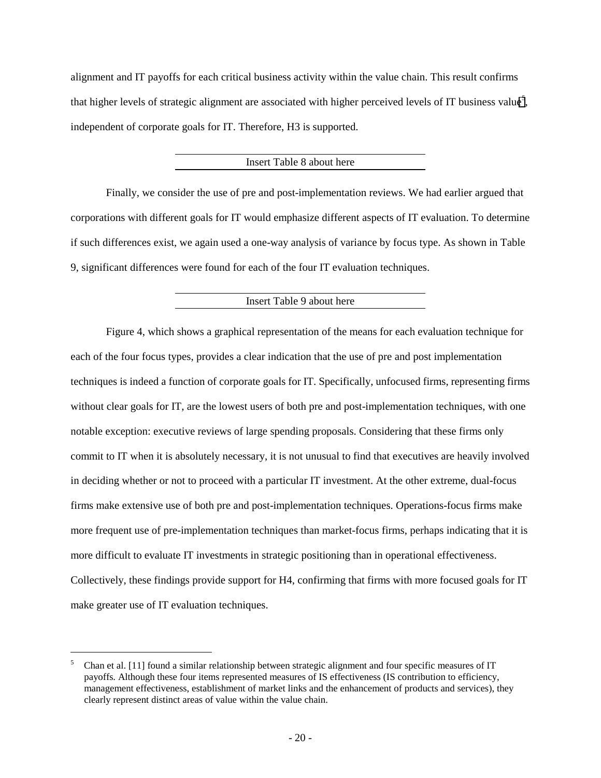alignment and IT payoffs for each critical business activity within the value chain. This result confirms that higher levels of strategic alignment are associated with higher perceived levels of IT business value<sup>5</sup>, independent of corporate goals for IT. Therefore, H3 is supported.

#### Insert Table 8 about here

 Finally, we consider the use of pre and post-implementation reviews. We had earlier argued that corporations with different goals for IT would emphasize different aspects of IT evaluation. To determine if such differences exist, we again used a one-way analysis of variance by focus type. As shown in Table 9, significant differences were found for each of the four IT evaluation techniques.

### Insert Table 9 about here

Figure 4, which shows a graphical representation of the means for each evaluation technique for each of the four focus types, provides a clear indication that the use of pre and post implementation techniques is indeed a function of corporate goals for IT. Specifically, unfocused firms, representing firms without clear goals for IT, are the lowest users of both pre and post-implementation techniques, with one notable exception: executive reviews of large spending proposals. Considering that these firms only commit to IT when it is absolutely necessary, it is not unusual to find that executives are heavily involved in deciding whether or not to proceed with a particular IT investment. At the other extreme, dual-focus firms make extensive use of both pre and post-implementation techniques. Operations-focus firms make more frequent use of pre-implementation techniques than market-focus firms, perhaps indicating that it is more difficult to evaluate IT investments in strategic positioning than in operational effectiveness. Collectively, these findings provide support for H4, confirming that firms with more focused goals for IT make greater use of IT evaluation techniques.

 $\overline{a}$ 

<sup>5</sup> Chan et al. [11] found a similar relationship between strategic alignment and four specific measures of IT payoffs. Although these four items represented measures of IS effectiveness (IS contribution to efficiency, management effectiveness, establishment of market links and the enhancement of products and services), they clearly represent distinct areas of value within the value chain.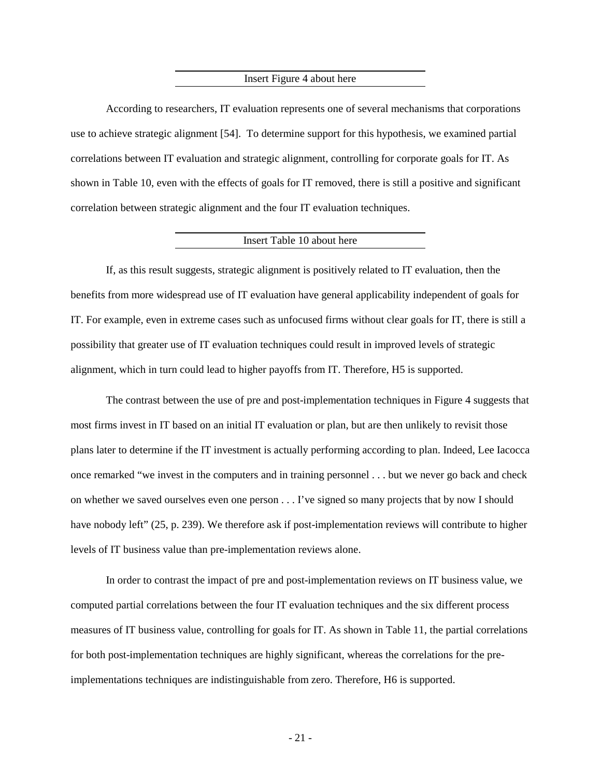#### Insert Figure 4 about here

According to researchers, IT evaluation represents one of several mechanisms that corporations use to achieve strategic alignment [54]. To determine support for this hypothesis, we examined partial correlations between IT evaluation and strategic alignment, controlling for corporate goals for IT. As shown in Table 10, even with the effects of goals for IT removed, there is still a positive and significant correlation between strategic alignment and the four IT evaluation techniques.

#### Insert Table 10 about here

If, as this result suggests, strategic alignment is positively related to IT evaluation, then the benefits from more widespread use of IT evaluation have general applicability independent of goals for IT. For example, even in extreme cases such as unfocused firms without clear goals for IT, there is still a possibility that greater use of IT evaluation techniques could result in improved levels of strategic alignment, which in turn could lead to higher payoffs from IT. Therefore, H5 is supported.

The contrast between the use of pre and post-implementation techniques in Figure 4 suggests that most firms invest in IT based on an initial IT evaluation or plan, but are then unlikely to revisit those plans later to determine if the IT investment is actually performing according to plan. Indeed, Lee Iacocca once remarked "we invest in the computers and in training personnel . . . but we never go back and check on whether we saved ourselves even one person . . . I've signed so many projects that by now I should have nobody left" (25, p. 239). We therefore ask if post-implementation reviews will contribute to higher levels of IT business value than pre-implementation reviews alone.

In order to contrast the impact of pre and post-implementation reviews on IT business value, we computed partial correlations between the four IT evaluation techniques and the six different process measures of IT business value, controlling for goals for IT. As shown in Table 11, the partial correlations for both post-implementation techniques are highly significant, whereas the correlations for the preimplementations techniques are indistinguishable from zero. Therefore, H6 is supported.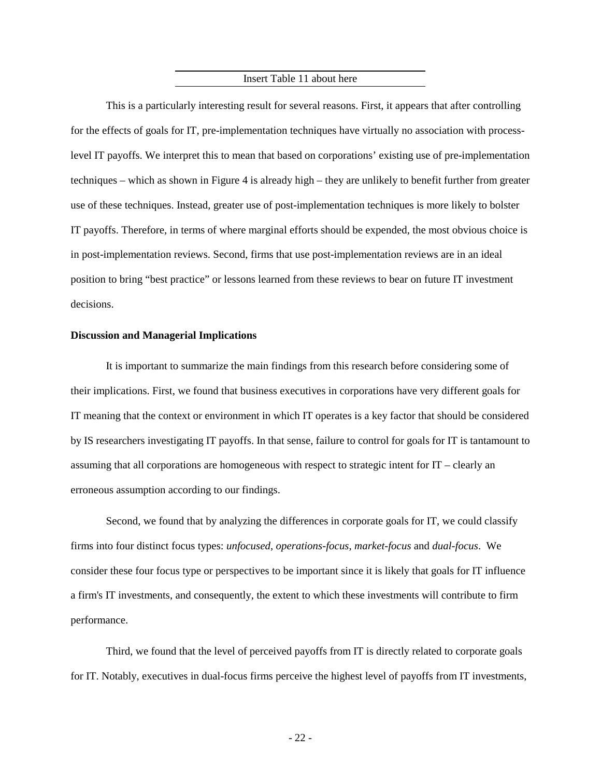#### Insert Table 11 about here

This is a particularly interesting result for several reasons. First, it appears that after controlling for the effects of goals for IT, pre-implementation techniques have virtually no association with processlevel IT payoffs. We interpret this to mean that based on corporations' existing use of pre-implementation techniques – which as shown in Figure 4 is already high – they are unlikely to benefit further from greater use of these techniques. Instead, greater use of post-implementation techniques is more likely to bolster IT payoffs. Therefore, in terms of where marginal efforts should be expended, the most obvious choice is in post-implementation reviews. Second, firms that use post-implementation reviews are in an ideal position to bring "best practice" or lessons learned from these reviews to bear on future IT investment decisions.

#### **Discussion and Managerial Implications**

It is important to summarize the main findings from this research before considering some of their implications. First, we found that business executives in corporations have very different goals for IT meaning that the context or environment in which IT operates is a key factor that should be considered by IS researchers investigating IT payoffs. In that sense, failure to control for goals for IT is tantamount to assuming that all corporations are homogeneous with respect to strategic intent for IT – clearly an erroneous assumption according to our findings.

Second, we found that by analyzing the differences in corporate goals for IT, we could classify firms into four distinct focus types: *unfocused*, *operations-focus*, *market-focus* and *dual-focus*. We consider these four focus type or perspectives to be important since it is likely that goals for IT influence a firm's IT investments, and consequently, the extent to which these investments will contribute to firm performance.

Third, we found that the level of perceived payoffs from IT is directly related to corporate goals for IT. Notably, executives in dual-focus firms perceive the highest level of payoffs from IT investments,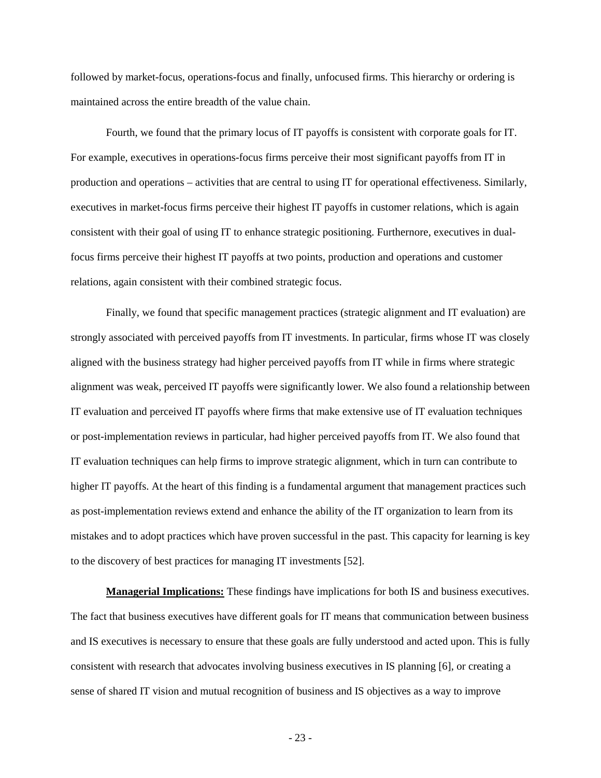followed by market-focus, operations-focus and finally, unfocused firms. This hierarchy or ordering is maintained across the entire breadth of the value chain.

Fourth, we found that the primary locus of IT payoffs is consistent with corporate goals for IT. For example, executives in operations-focus firms perceive their most significant payoffs from IT in production and operations – activities that are central to using IT for operational effectiveness. Similarly, executives in market-focus firms perceive their highest IT payoffs in customer relations, which is again consistent with their goal of using IT to enhance strategic positioning. Furthernore, executives in dualfocus firms perceive their highest IT payoffs at two points, production and operations and customer relations, again consistent with their combined strategic focus.

Finally, we found that specific management practices (strategic alignment and IT evaluation) are strongly associated with perceived payoffs from IT investments. In particular, firms whose IT was closely aligned with the business strategy had higher perceived payoffs from IT while in firms where strategic alignment was weak, perceived IT payoffs were significantly lower. We also found a relationship between IT evaluation and perceived IT payoffs where firms that make extensive use of IT evaluation techniques or post-implementation reviews in particular, had higher perceived payoffs from IT. We also found that IT evaluation techniques can help firms to improve strategic alignment, which in turn can contribute to higher IT payoffs. At the heart of this finding is a fundamental argument that management practices such as post-implementation reviews extend and enhance the ability of the IT organization to learn from its mistakes and to adopt practices which have proven successful in the past. This capacity for learning is key to the discovery of best practices for managing IT investments [52].

**Managerial Implications:** These findings have implications for both IS and business executives. The fact that business executives have different goals for IT means that communication between business and IS executives is necessary to ensure that these goals are fully understood and acted upon. This is fully consistent with research that advocates involving business executives in IS planning [6], or creating a sense of shared IT vision and mutual recognition of business and IS objectives as a way to improve

- 23 -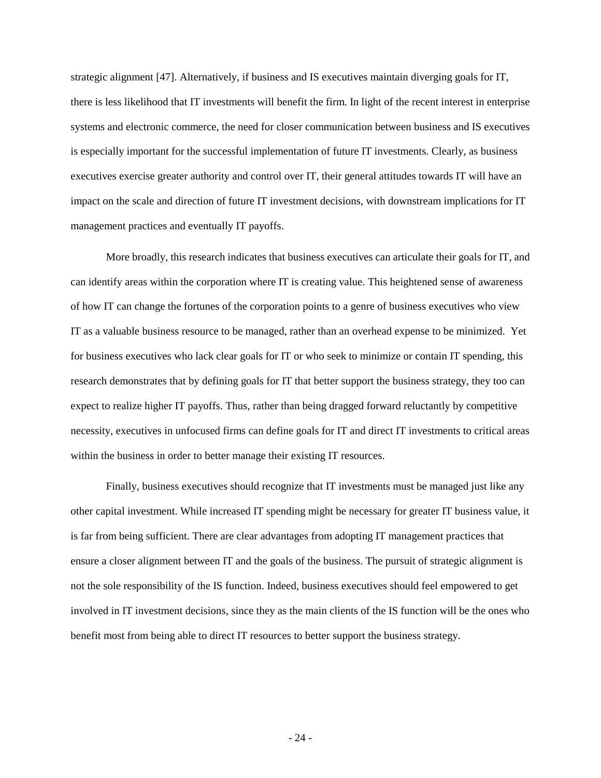strategic alignment [47]. Alternatively, if business and IS executives maintain diverging goals for IT, there is less likelihood that IT investments will benefit the firm. In light of the recent interest in enterprise systems and electronic commerce, the need for closer communication between business and IS executives is especially important for the successful implementation of future IT investments. Clearly, as business executives exercise greater authority and control over IT, their general attitudes towards IT will have an impact on the scale and direction of future IT investment decisions, with downstream implications for IT management practices and eventually IT payoffs.

More broadly, this research indicates that business executives can articulate their goals for IT, and can identify areas within the corporation where IT is creating value. This heightened sense of awareness of how IT can change the fortunes of the corporation points to a genre of business executives who view IT as a valuable business resource to be managed, rather than an overhead expense to be minimized. Yet for business executives who lack clear goals for IT or who seek to minimize or contain IT spending, this research demonstrates that by defining goals for IT that better support the business strategy, they too can expect to realize higher IT payoffs. Thus, rather than being dragged forward reluctantly by competitive necessity, executives in unfocused firms can define goals for IT and direct IT investments to critical areas within the business in order to better manage their existing IT resources.

Finally, business executives should recognize that IT investments must be managed just like any other capital investment. While increased IT spending might be necessary for greater IT business value, it is far from being sufficient. There are clear advantages from adopting IT management practices that ensure a closer alignment between IT and the goals of the business. The pursuit of strategic alignment is not the sole responsibility of the IS function. Indeed, business executives should feel empowered to get involved in IT investment decisions, since they as the main clients of the IS function will be the ones who benefit most from being able to direct IT resources to better support the business strategy.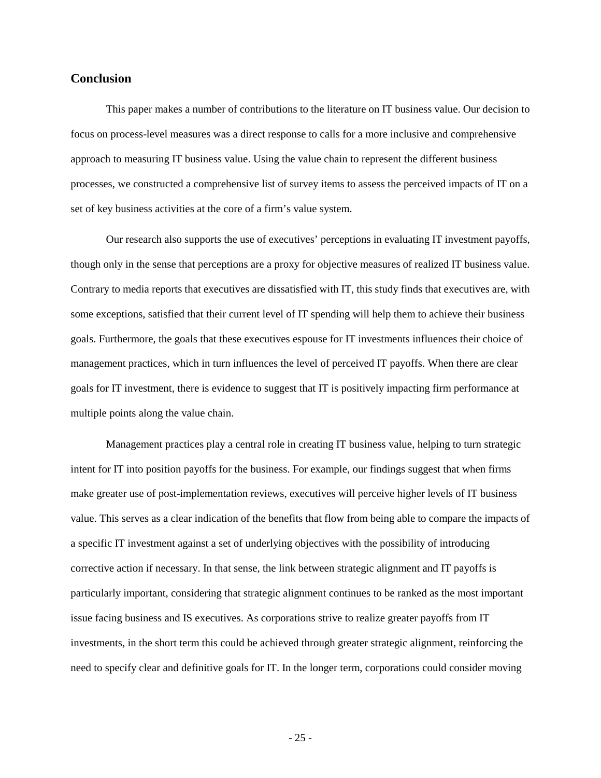# **Conclusion**

This paper makes a number of contributions to the literature on IT business value. Our decision to focus on process-level measures was a direct response to calls for a more inclusive and comprehensive approach to measuring IT business value. Using the value chain to represent the different business processes, we constructed a comprehensive list of survey items to assess the perceived impacts of IT on a set of key business activities at the core of a firm's value system.

Our research also supports the use of executives' perceptions in evaluating IT investment payoffs, though only in the sense that perceptions are a proxy for objective measures of realized IT business value. Contrary to media reports that executives are dissatisfied with IT, this study finds that executives are, with some exceptions, satisfied that their current level of IT spending will help them to achieve their business goals. Furthermore, the goals that these executives espouse for IT investments influences their choice of management practices, which in turn influences the level of perceived IT payoffs. When there are clear goals for IT investment, there is evidence to suggest that IT is positively impacting firm performance at multiple points along the value chain.

Management practices play a central role in creating IT business value, helping to turn strategic intent for IT into position payoffs for the business. For example, our findings suggest that when firms make greater use of post-implementation reviews, executives will perceive higher levels of IT business value. This serves as a clear indication of the benefits that flow from being able to compare the impacts of a specific IT investment against a set of underlying objectives with the possibility of introducing corrective action if necessary. In that sense, the link between strategic alignment and IT payoffs is particularly important, considering that strategic alignment continues to be ranked as the most important issue facing business and IS executives. As corporations strive to realize greater payoffs from IT investments, in the short term this could be achieved through greater strategic alignment, reinforcing the need to specify clear and definitive goals for IT. In the longer term, corporations could consider moving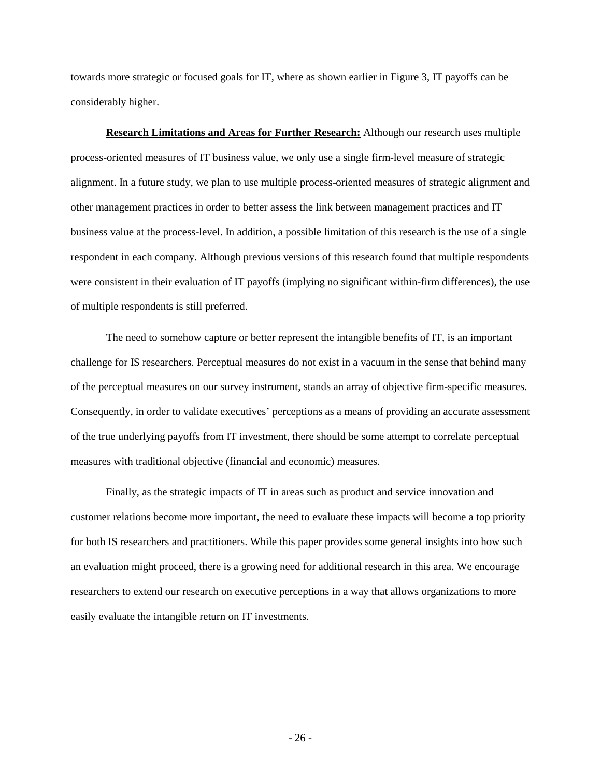towards more strategic or focused goals for IT, where as shown earlier in Figure 3, IT payoffs can be considerably higher.

**Research Limitations and Areas for Further Research:** Although our research uses multiple process-oriented measures of IT business value, we only use a single firm-level measure of strategic alignment. In a future study, we plan to use multiple process-oriented measures of strategic alignment and other management practices in order to better assess the link between management practices and IT business value at the process-level. In addition, a possible limitation of this research is the use of a single respondent in each company. Although previous versions of this research found that multiple respondents were consistent in their evaluation of IT payoffs (implying no significant within-firm differences), the use of multiple respondents is still preferred.

The need to somehow capture or better represent the intangible benefits of IT, is an important challenge for IS researchers. Perceptual measures do not exist in a vacuum in the sense that behind many of the perceptual measures on our survey instrument, stands an array of objective firm-specific measures. Consequently, in order to validate executives' perceptions as a means of providing an accurate assessment of the true underlying payoffs from IT investment, there should be some attempt to correlate perceptual measures with traditional objective (financial and economic) measures.

 Finally, as the strategic impacts of IT in areas such as product and service innovation and customer relations become more important, the need to evaluate these impacts will become a top priority for both IS researchers and practitioners. While this paper provides some general insights into how such an evaluation might proceed, there is a growing need for additional research in this area. We encourage researchers to extend our research on executive perceptions in a way that allows organizations to more easily evaluate the intangible return on IT investments.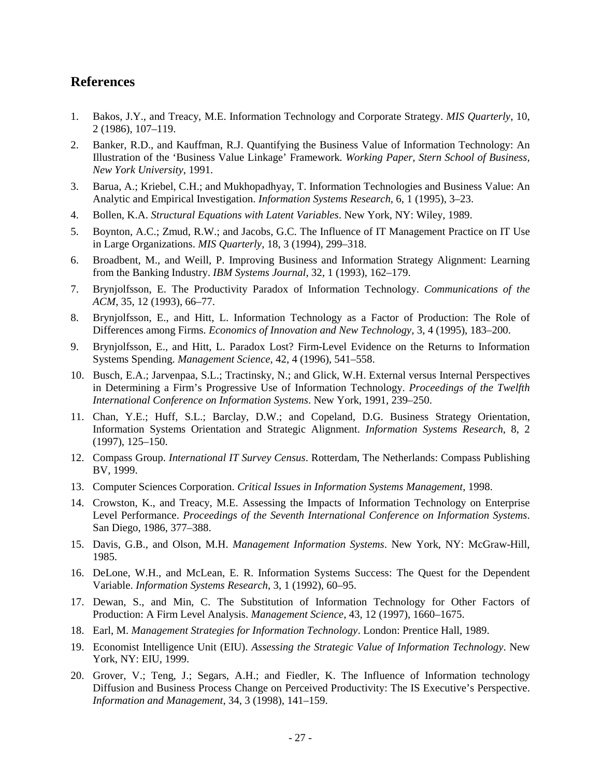# **References**

- 1. Bakos, J.Y., and Treacy, M.E. Information Technology and Corporate Strategy. *MIS Quarterly*, 10, 2 (1986), 107–119.
- 2. Banker, R.D., and Kauffman, R.J. Quantifying the Business Value of Information Technology: An Illustration of the 'Business Value Linkage' Framework. *Working Paper, Stern School of Business, New York University*, 1991.
- 3. Barua, A.; Kriebel, C.H.; and Mukhopadhyay, T. Information Technologies and Business Value: An Analytic and Empirical Investigation. *Information Systems Research*, 6, 1 (1995), 3–23.
- 4. Bollen, K.A. *Structural Equations with Latent Variables*. New York, NY: Wiley, 1989.
- 5. Boynton, A.C.; Zmud, R.W.; and Jacobs, G.C. The Influence of IT Management Practice on IT Use in Large Organizations. *MIS Quarterly*, 18, 3 (1994), 299–318.
- 6. Broadbent, M., and Weill, P. Improving Business and Information Strategy Alignment: Learning from the Banking Industry. *IBM Systems Journal*, 32, 1 (1993), 162–179.
- 7. Brynjolfsson, E. The Productivity Paradox of Information Technology. *Communications of the ACM*, 35, 12 (1993), 66–77.
- 8. Brynjolfsson, E., and Hitt, L. Information Technology as a Factor of Production: The Role of Differences among Firms. *Economics of Innovation and New Technology*, 3, 4 (1995), 183–200.
- 9. Brynjolfsson, E., and Hitt, L. Paradox Lost? Firm-Level Evidence on the Returns to Information Systems Spending. *Management Science*, 42, 4 (1996), 541–558.
- 10. Busch, E.A.; Jarvenpaa, S.L.; Tractinsky, N.; and Glick, W.H. External versus Internal Perspectives in Determining a Firm's Progressive Use of Information Technology. *Proceedings of the Twelfth International Conference on Information Systems*. New York, 1991, 239–250.
- 11. Chan, Y.E.; Huff, S.L.; Barclay, D.W.; and Copeland, D.G. Business Strategy Orientation, Information Systems Orientation and Strategic Alignment. *Information Systems Research*, 8, 2 (1997), 125–150.
- 12. Compass Group. *International IT Survey Census*. Rotterdam, The Netherlands: Compass Publishing BV, 1999.
- 13. Computer Sciences Corporation. *Critical Issues in Information Systems Management*, 1998.
- 14. Crowston, K., and Treacy, M.E. Assessing the Impacts of Information Technology on Enterprise Level Performance. *Proceedings of the Seventh International Conference on Information Systems*. San Diego, 1986, 377–388.
- 15. Davis, G.B., and Olson, M.H. *Management Information Systems*. New York, NY: McGraw-Hill, 1985.
- 16. DeLone, W.H., and McLean, E. R. Information Systems Success: The Quest for the Dependent Variable. *Information Systems Research*, 3, 1 (1992), 60–95.
- 17. Dewan, S., and Min, C. The Substitution of Information Technology for Other Factors of Production: A Firm Level Analysis. *Management Science*, 43, 12 (1997), 1660–1675.
- 18. Earl, M. *Management Strategies for Information Technology*. London: Prentice Hall, 1989.
- 19. Economist Intelligence Unit (EIU). *Assessing the Strategic Value of Information Technology*. New York, NY: EIU, 1999.
- 20. Grover, V.; Teng, J.; Segars, A.H.; and Fiedler, K. The Influence of Information technology Diffusion and Business Process Change on Perceived Productivity: The IS Executive's Perspective. *Information and Management*, 34, 3 (1998), 141–159.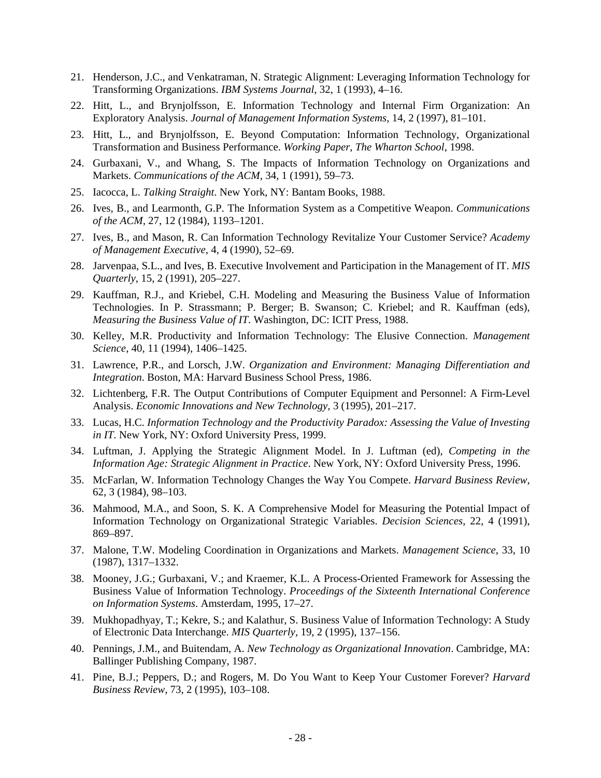- 21. Henderson, J.C., and Venkatraman, N. Strategic Alignment: Leveraging Information Technology for Transforming Organizations. *IBM Systems Journal*, 32, 1 (1993), 4–16.
- 22. Hitt, L., and Brynjolfsson, E. Information Technology and Internal Firm Organization: An Exploratory Analysis. *Journal of Management Information Systems*, 14, 2 (1997), 81–101.
- 23. Hitt, L., and Brynjolfsson, E. Beyond Computation: Information Technology, Organizational Transformation and Business Performance. *Working Paper, The Wharton School*, 1998.
- 24. Gurbaxani, V., and Whang, S. The Impacts of Information Technology on Organizations and Markets. *Communications of the ACM*, 34, 1 (1991), 59–73.
- 25. Iacocca, L. *Talking Straight*. New York, NY: Bantam Books, 1988.
- 26. Ives, B., and Learmonth, G.P. The Information System as a Competitive Weapon. *Communications of the ACM*, 27, 12 (1984), 1193–1201.
- 27. Ives, B., and Mason, R. Can Information Technology Revitalize Your Customer Service? *Academy of Management Executive*, 4, 4 (1990), 52–69.
- 28. Jarvenpaa, S.L., and Ives, B. Executive Involvement and Participation in the Management of IT. *MIS Quarterly*, 15, 2 (1991), 205–227.
- 29. Kauffman, R.J., and Kriebel, C.H. Modeling and Measuring the Business Value of Information Technologies. In P. Strassmann; P. Berger; B. Swanson; C. Kriebel; and R. Kauffman (eds), *Measuring the Business Value of IT*. Washington, DC: ICIT Press, 1988.
- 30. Kelley, M.R. Productivity and Information Technology: The Elusive Connection. *Management Science*, 40, 11 (1994), 1406–1425.
- 31. Lawrence, P.R., and Lorsch, J.W. *Organization and Environment: Managing Differentiation and Integration*. Boston, MA: Harvard Business School Press, 1986.
- 32. Lichtenberg, F.R. The Output Contributions of Computer Equipment and Personnel: A Firm-Level Analysis. *Economic Innovations and New Technology,* 3 (1995), 201–217.
- 33. Lucas, H.C. *Information Technology and the Productivity Paradox: Assessing the Value of Investing in IT*. New York, NY: Oxford University Press, 1999.
- 34. Luftman, J. Applying the Strategic Alignment Model. In J. Luftman (ed), *Competing in the Information Age: Strategic Alignment in Practice*. New York, NY: Oxford University Press, 1996.
- 35. McFarlan, W. Information Technology Changes the Way You Compete. *Harvard Business Review,*  62, 3 (1984), 98–103.
- 36. Mahmood, M.A., and Soon, S. K. A Comprehensive Model for Measuring the Potential Impact of Information Technology on Organizational Strategic Variables. *Decision Sciences*, 22, 4 (1991), 869–897.
- 37. Malone, T.W. Modeling Coordination in Organizations and Markets. *Management Science*, 33, 10 (1987), 1317–1332.
- 38. Mooney, J.G.; Gurbaxani, V.; and Kraemer, K.L. A Process-Oriented Framework for Assessing the Business Value of Information Technology. *Proceedings of the Sixteenth International Conference on Information Systems*. Amsterdam, 1995, 17–27.
- 39. Mukhopadhyay, T.; Kekre, S.; and Kalathur, S. Business Value of Information Technology: A Study of Electronic Data Interchange. *MIS Quarterly*, 19, 2 (1995), 137–156.
- 40. Pennings, J.M., and Buitendam, A. *New Technology as Organizational Innovation*. Cambridge, MA: Ballinger Publishing Company, 1987.
- 41. Pine, B.J.; Peppers, D.; and Rogers, M. Do You Want to Keep Your Customer Forever? *Harvard Business Review*, 73, 2 (1995), 103–108.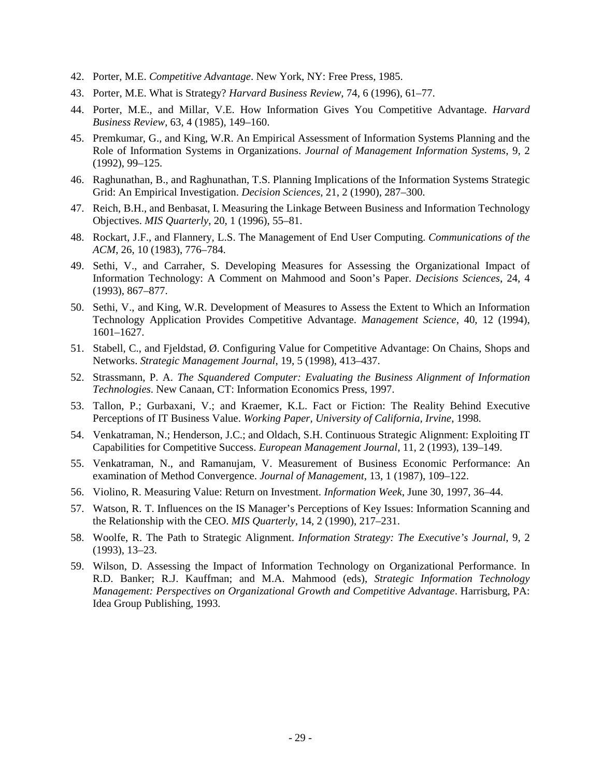- 42. Porter, M.E. *Competitive Advantage*. New York, NY: Free Press, 1985.
- 43. Porter, M.E. What is Strategy? *Harvard Business Review*, 74, 6 (1996), 61–77.
- 44. Porter, M.E., and Millar, V.E. How Information Gives You Competitive Advantage. *Harvard Business Review*, 63, 4 (1985), 149–160.
- 45. Premkumar, G., and King, W.R. An Empirical Assessment of Information Systems Planning and the Role of Information Systems in Organizations. *Journal of Management Information Systems*, 9, 2 (1992), 99–125.
- 46. Raghunathan, B., and Raghunathan, T.S. Planning Implications of the Information Systems Strategic Grid: An Empirical Investigation. *Decision Sciences*, 21, 2 (1990), 287–300.
- 47. Reich, B.H., and Benbasat, I. Measuring the Linkage Between Business and Information Technology Objectives. *MIS Quarterly*, 20, 1 (1996), 55–81.
- 48. Rockart, J.F., and Flannery, L.S. The Management of End User Computing. *Communications of the ACM*, 26, 10 (1983), 776–784.
- 49. Sethi, V., and Carraher, S. Developing Measures for Assessing the Organizational Impact of Information Technology: A Comment on Mahmood and Soon's Paper. *Decisions Sciences*, 24, 4 (1993), 867–877.
- 50. Sethi, V., and King, W.R. Development of Measures to Assess the Extent to Which an Information Technology Application Provides Competitive Advantage. *Management Science*, 40, 12 (1994), 1601–1627.
- 51. Stabell, C., and Fjeldstad, Ø. Configuring Value for Competitive Advantage: On Chains, Shops and Networks. *Strategic Management Journal*, 19, 5 (1998), 413–437.
- 52. Strassmann, P. A. *The Squandered Computer: Evaluating the Business Alignment of Information Technologies*. New Canaan, CT: Information Economics Press, 1997.
- 53. Tallon, P.; Gurbaxani, V.; and Kraemer, K.L. Fact or Fiction: The Reality Behind Executive Perceptions of IT Business Value. *Working Paper, University of California, Irvine*, 1998.
- 54. Venkatraman, N.; Henderson, J.C.; and Oldach, S.H. Continuous Strategic Alignment: Exploiting IT Capabilities for Competitive Success. *European Management Journal*, 11, 2 (1993), 139–149.
- 55. Venkatraman, N., and Ramanujam, V. Measurement of Business Economic Performance: An examination of Method Convergence. *Journal of Management*, 13, 1 (1987), 109–122.
- 56. Violino, R. Measuring Value: Return on Investment. *Information Week*, June 30, 1997, 36–44.
- 57. Watson, R. T. Influences on the IS Manager's Perceptions of Key Issues: Information Scanning and the Relationship with the CEO. *MIS Quarterly*, 14, 2 (1990), 217–231.
- 58. Woolfe, R. The Path to Strategic Alignment. *Information Strategy: The Executive's Journal*, 9, 2 (1993), 13–23.
- 59. Wilson, D. Assessing the Impact of Information Technology on Organizational Performance. In R.D. Banker; R.J. Kauffman; and M.A. Mahmood (eds), *Strategic Information Technology Management: Perspectives on Organizational Growth and Competitive Advantage*. Harrisburg, PA: Idea Group Publishing, 1993.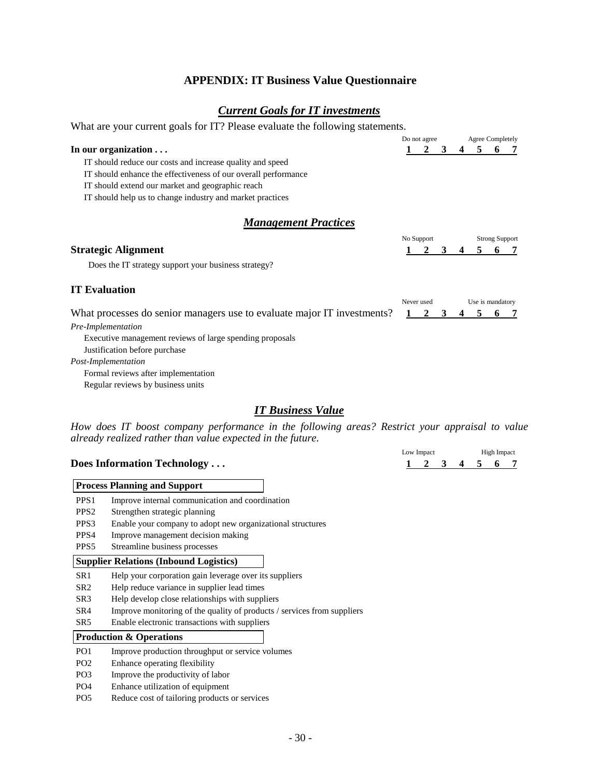# **APPENDIX: IT Business Value Questionnaire**

# *Current Goals for IT investments*

What are your current goals for IT? Please evaluate the following statements.

|                                                                         |              | Do not agree |   |                | Agree Completely |                       |     |  |
|-------------------------------------------------------------------------|--------------|--------------|---|----------------|------------------|-----------------------|-----|--|
| In our organization $\ldots$                                            |              |              | 3 | 4              | 5                | 6                     |     |  |
| IT should reduce our costs and increase quality and speed               |              |              |   |                |                  |                       |     |  |
| IT should enhance the effectiveness of our overall performance          |              |              |   |                |                  |                       |     |  |
| IT should extend our market and geographic reach                        |              |              |   |                |                  |                       |     |  |
| IT should help us to change industry and market practices               |              |              |   |                |                  |                       |     |  |
| <b>Management Practices</b>                                             |              |              |   |                |                  |                       |     |  |
|                                                                         |              | No Support   |   |                |                  | <b>Strong Support</b> |     |  |
| <b>Strategic Alignment</b>                                              |              | 2            | 3 | $\overline{4}$ | 5                | 6                     |     |  |
| Does the IT strategy support your business strategy?                    |              |              |   |                |                  |                       |     |  |
| <b>IT Evaluation</b>                                                    |              |              |   |                |                  |                       |     |  |
|                                                                         |              | Never used   |   |                | Use is mandatory |                       |     |  |
| What processes do senior managers use to evaluate major IT investments? | $\mathbf{1}$ |              |   | 2 3 4 5        |                  | 6                     | - 7 |  |
| Pre-Implementation                                                      |              |              |   |                |                  |                       |     |  |
| Executive management reviews of large spending proposals                |              |              |   |                |                  |                       |     |  |
| Justification before purchase                                           |              |              |   |                |                  |                       |     |  |
| Post-Implementation                                                     |              |              |   |                |                  |                       |     |  |
| Formal reviews after implementation                                     |              |              |   |                |                  |                       |     |  |
| Regular reviews by business units                                       |              |              |   |                |                  |                       |     |  |
|                                                                         |              |              |   |                |                  |                       |     |  |

# *IT Business Value*

*How does IT boost company performance in the following areas? Restrict your appraisal to value already realized rather than value expected in the future.* 

#### **Does Information Technology...**

| Low Impact |  |  | <b>High Impact</b> |  |  |  |
|------------|--|--|--------------------|--|--|--|
|            |  |  |                    |  |  |  |

|  | <b>Process Planning and Support</b> |
|--|-------------------------------------|
|  |                                     |

- PPS1 Improve internal communication and coordination
- PPS2 Strengthen strategic planning
- PPS3 Enable your company to adopt new organizational structures
- PPS4 Improve management decision making
- PPS5 Streamline business processes

#### **Supplier Relations (Inbound Logistics)**

- SR1 Help your corporation gain leverage over its suppliers
- SR2 Help reduce variance in supplier lead times
- SR3 Help develop close relationships with suppliers
- SR4 Improve monitoring of the quality of products / services from suppliers
- SR5 Enable electronic transactions with suppliers

#### **Production & Operations**

- PO1 Improve production throughput or service volumes
- PO2 Enhance operating flexibility
- PO3 Improve the productivity of labor
- PO4 Enhance utilization of equipment
- PO5 Reduce cost of tailoring products or services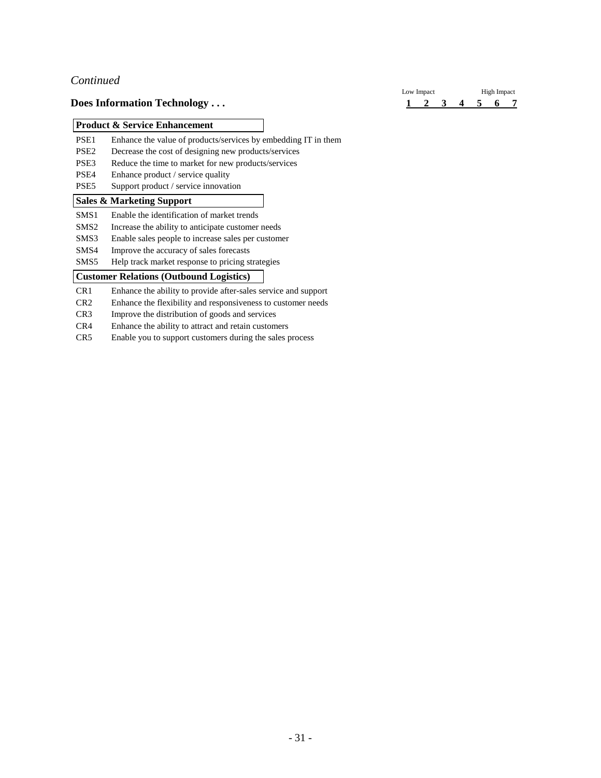# *Continued*

#### **Does Information Technology...**

| Low Impact |  |  |  | High Impact |  |
|------------|--|--|--|-------------|--|
|            |  |  |  |             |  |

#### **Product & Service Enhancement**

- PSE1 Enhance the value of products/services by embedding IT in them
- PSE2 Decrease the cost of designing new products/services
- PSE3 Reduce the time to market for new products/services
- PSE4 Enhance product / service quality
- PSE5 Support product / service innovation

#### **Sales & Marketing Support**

- SMS1 Enable the identification of market trends
- SMS2 Increase the ability to anticipate customer needs
- SMS3 Enable sales people to increase sales per customer
- SMS4 Improve the accuracy of sales forecasts
- SMS5 Help track market response to pricing strategies

#### **Customer Relations (Outbound Logistics)**

- CR1 Enhance the ability to provide after-sales service and support
- CR2 Enhance the flexibility and responsiveness to customer needs
- CR3 Improve the distribution of goods and services
- CR4 Enhance the ability to attract and retain customers
- CR5 Enable you to support customers during the sales process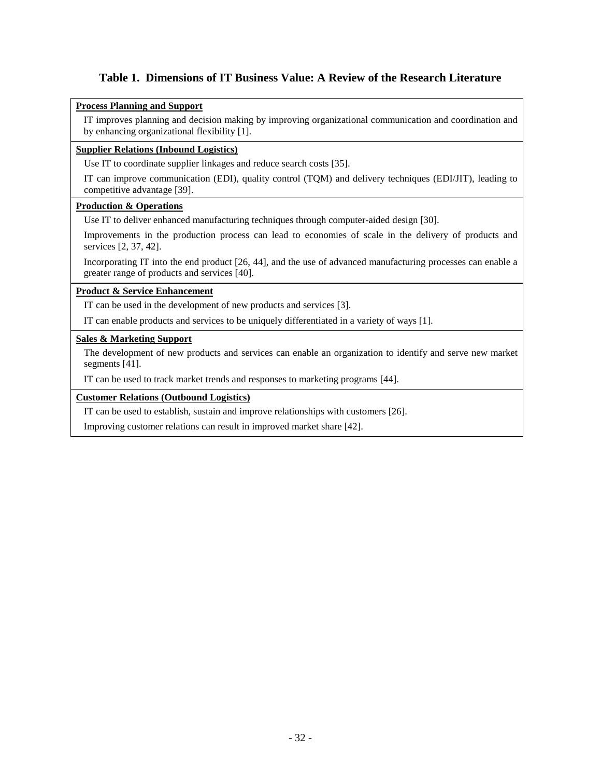# **Table 1. Dimensions of IT Business Value: A Review of the Research Literature**

#### **Process Planning and Support**

IT improves planning and decision making by improving organizational communication and coordination and by enhancing organizational flexibility [1].

#### **Supplier Relations (Inbound Logistics)**

Use IT to coordinate supplier linkages and reduce search costs [35].

IT can improve communication (EDI), quality control (TQM) and delivery techniques (EDI/JIT), leading to competitive advantage [39].

#### **Production & Operations**

Use IT to deliver enhanced manufacturing techniques through computer-aided design [30].

Improvements in the production process can lead to economies of scale in the delivery of products and services [2, 37, 42].

Incorporating IT into the end product [26, 44], and the use of advanced manufacturing processes can enable a greater range of products and services [40].

#### **Product & Service Enhancement**

IT can be used in the development of new products and services [3].

IT can enable products and services to be uniquely differentiated in a variety of ways [1].

#### **Sales & Marketing Support**

The development of new products and services can enable an organization to identify and serve new market segments [41].

IT can be used to track market trends and responses to marketing programs [44].

#### **Customer Relations (Outbound Logistics)**

IT can be used to establish, sustain and improve relationships with customers [26].

Improving customer relations can result in improved market share [42].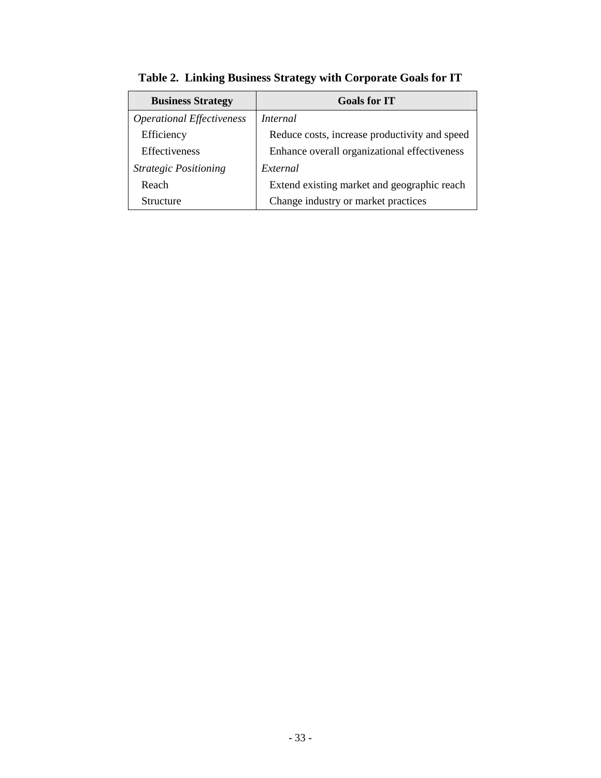| <b>Business Strategy</b>         | <b>Goals for IT</b>                           |
|----------------------------------|-----------------------------------------------|
| <b>Operational Effectiveness</b> | <i>Internal</i>                               |
| Efficiency                       | Reduce costs, increase productivity and speed |
| Effectiveness                    | Enhance overall organizational effectiveness  |
| <b>Strategic Positioning</b>     | External                                      |
| Reach                            | Extend existing market and geographic reach   |
| Structure                        | Change industry or market practices           |

**Table 2. Linking Business Strategy with Corporate Goals for IT**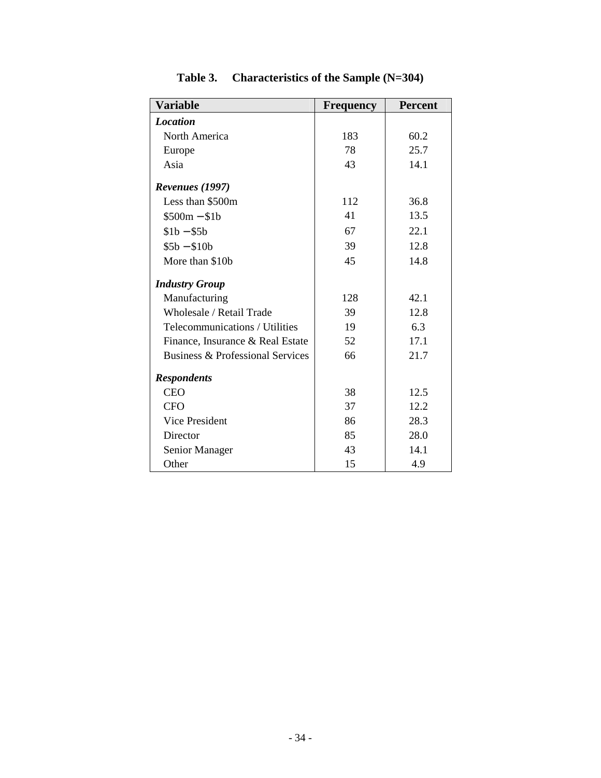| Variable                         | <b>Frequency</b> | <b>Percent</b> |
|----------------------------------|------------------|----------------|
| <b>Location</b>                  |                  |                |
| North America                    | 183              | 60.2           |
| Europe                           | 78               | 25.7           |
| Asia                             | 43               | 14.1           |
| Revenues (1997)                  |                  |                |
| Less than \$500m                 | 112              | 36.8           |
| $$500m - $1b$                    | 41               | 13.5           |
| $$1b - $5b$                      | 67               | 22.1           |
| $$5b - $10b$                     | 39               | 12.8           |
| More than \$10b                  | 45               | 14.8           |
| <b>Industry Group</b>            |                  |                |
| Manufacturing                    | 128              | 42.1           |
| Wholesale / Retail Trade         | 39               | 12.8           |
| Telecommunications / Utilities   | 19               | 6.3            |
| Finance, Insurance & Real Estate | 52               | 17.1           |
| Business & Professional Services | 66               | 21.7           |
| <b>Respondents</b>               |                  |                |
| <b>CEO</b>                       | 38               | 12.5           |
| <b>CFO</b>                       | 37               | 12.2           |
| <b>Vice President</b>            | 86               | 28.3           |
| Director                         | 85               | 28.0           |
| Senior Manager                   | 43               | 14.1           |
| Other                            | 15               | 4.9            |

**Table 3. Characteristics of the Sample (N=304)**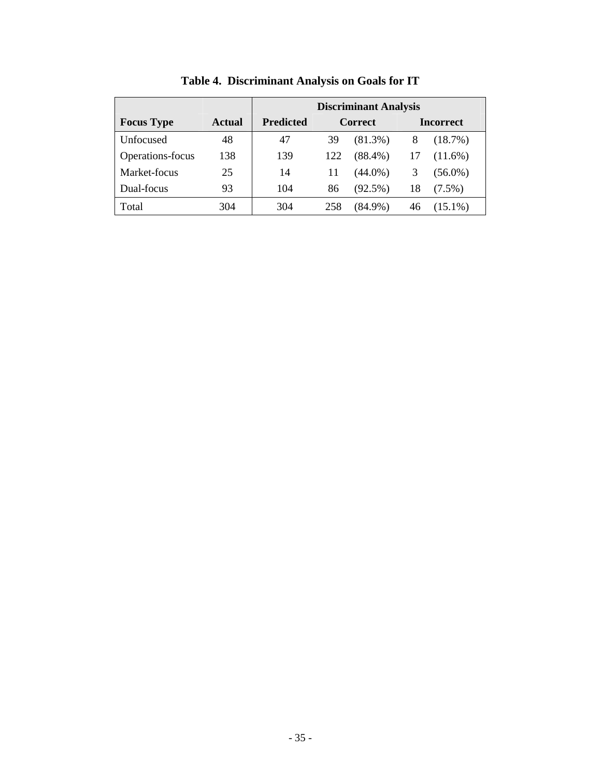|                   |        | <b>Discriminant Analysis</b> |                |            |    |            |  |  |  |                  |
|-------------------|--------|------------------------------|----------------|------------|----|------------|--|--|--|------------------|
| <b>Focus Type</b> | Actual | <b>Predicted</b>             | <b>Correct</b> |            |    |            |  |  |  | <b>Incorrect</b> |
| Unfocused         | 48     | 47                           | 39             | $(81.3\%)$ | 8  | (18.7%)    |  |  |  |                  |
| Operations-focus  | 138    | 139                          | 122            | $(88.4\%)$ | 17 | $(11.6\%)$ |  |  |  |                  |
| Market-focus      | 25     | 14                           | 11             | $(44.0\%)$ | 3  | $(56.0\%)$ |  |  |  |                  |
| Dual-focus        | 93     | 104                          | 86             | $(92.5\%)$ | 18 | $(7.5\%)$  |  |  |  |                  |
| Total             | 304    | 304                          | 258            | $(84.9\%)$ | 46 | $(15.1\%)$ |  |  |  |                  |

**Table 4. Discriminant Analysis on Goals for IT**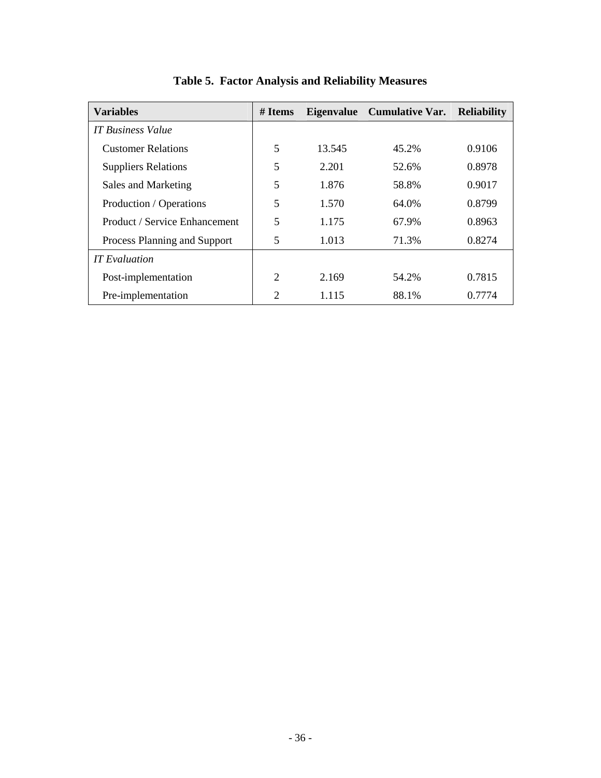| <b>Variables</b>              | # Items        | Eigenvalue | <b>Cumulative Var. Reliability</b> |        |
|-------------------------------|----------------|------------|------------------------------------|--------|
| IT Business Value             |                |            |                                    |        |
| <b>Customer Relations</b>     | 5              | 13.545     | 45.2%                              | 0.9106 |
| <b>Suppliers Relations</b>    | 5              | 2.201      | 52.6%                              | 0.8978 |
| Sales and Marketing           | 5              | 1.876      | 58.8%                              | 0.9017 |
| Production / Operations       | 5              | 1.570      | 64.0%                              | 0.8799 |
| Product / Service Enhancement | 5              | 1.175      | 67.9%                              | 0.8963 |
| Process Planning and Support  | 5              | 1.013      | 71.3%                              | 0.8274 |
| <b>IT</b> Evaluation          |                |            |                                    |        |
| Post-implementation           | $\overline{2}$ | 2.169      | 54.2%                              | 0.7815 |
| Pre-implementation            | $\overline{c}$ | 1.115      | 88.1%                              | 0.7774 |

**Table 5. Factor Analysis and Reliability Measures**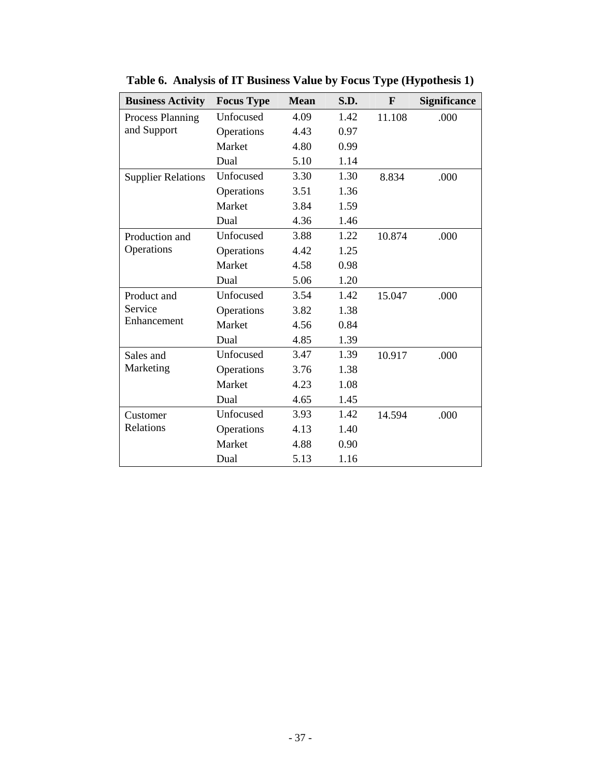| <b>Business Activity</b>  | <b>Focus Type</b> | <b>Mean</b> | S.D. | $\mathbf{F}$ | <b>Significance</b> |
|---------------------------|-------------------|-------------|------|--------------|---------------------|
| <b>Process Planning</b>   | Unfocused         | 4.09        | 1.42 | 11.108       | .000                |
| and Support               | Operations        | 4.43        | 0.97 |              |                     |
|                           | Market            | 4.80        | 0.99 |              |                     |
|                           | Dual              | 5.10        | 1.14 |              |                     |
| <b>Supplier Relations</b> | Unfocused         | 3.30        | 1.30 | 8.834        | .000                |
|                           | Operations        | 3.51        | 1.36 |              |                     |
|                           | Market            | 3.84        | 1.59 |              |                     |
|                           | Dual              | 4.36        | 1.46 |              |                     |
| Production and            | Unfocused         | 3.88        | 1.22 | 10.874       | .000                |
| Operations                | Operations        | 4.42        | 1.25 |              |                     |
|                           | Market            | 4.58        | 0.98 |              |                     |
|                           | Dual              | 5.06        | 1.20 |              |                     |
| Product and               | Unfocused         | 3.54        | 1.42 | 15.047       | .000                |
| Service                   | Operations        | 3.82        | 1.38 |              |                     |
| Enhancement               | Market            | 4.56        | 0.84 |              |                     |
|                           | Dual              | 4.85        | 1.39 |              |                     |
| Sales and                 | Unfocused         | 3.47        | 1.39 | 10.917       | .000                |
| Marketing                 | Operations        | 3.76        | 1.38 |              |                     |
|                           | Market            | 4.23        | 1.08 |              |                     |
|                           | Dual              | 4.65        | 1.45 |              |                     |
| Customer                  | Unfocused         | 3.93        | 1.42 | 14.594       | .000                |
| Relations                 | Operations        | 4.13        | 1.40 |              |                     |
|                           | Market            | 4.88        | 0.90 |              |                     |
|                           | Dual              | 5.13        | 1.16 |              |                     |

**Table 6. Analysis of IT Business Value by Focus Type (Hypothesis 1)**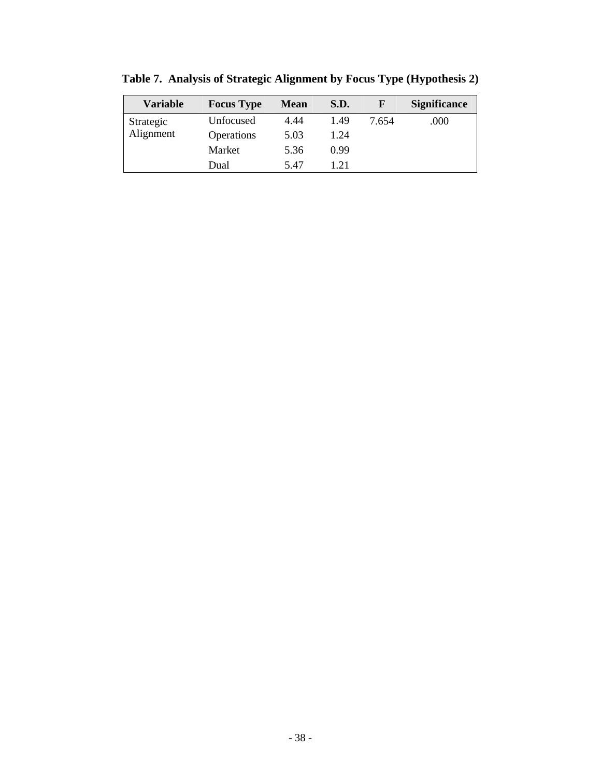| <b>Variable</b> | <b>Focus Type</b> | <b>Mean</b> | S.D. | F     | <b>Significance</b> |
|-----------------|-------------------|-------------|------|-------|---------------------|
| Strategic       | Unfocused         | 4.44        | 1.49 | 7.654 | .000                |
| Alignment       | Operations        | 5.03        | 1.24 |       |                     |
|                 | Market            | 5.36        | 0.99 |       |                     |
|                 | Dual              | 5.47        | .21  |       |                     |

**Table 7. Analysis of Strategic Alignment by Focus Type (Hypothesis 2)**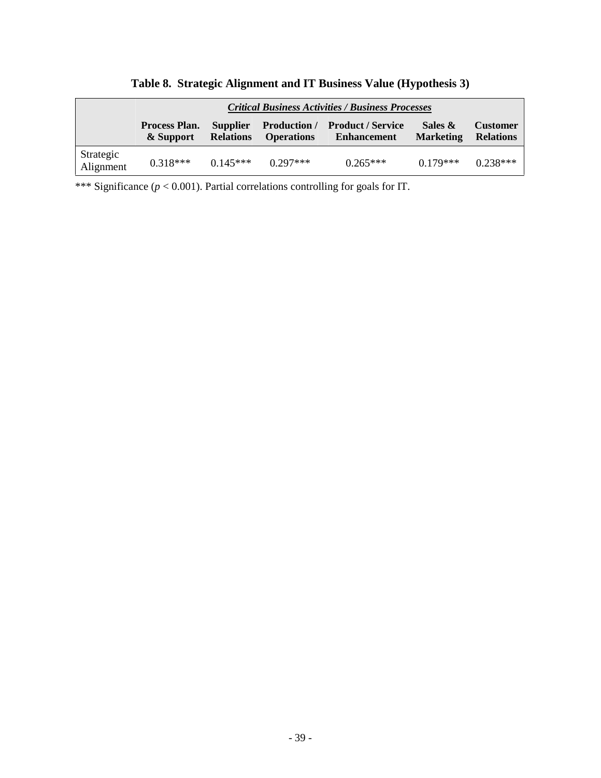|                        | <b>Critical Business Activities / Business Processes</b> |                  |                   |                                                                      |                             |                                     |  |  |  |
|------------------------|----------------------------------------------------------|------------------|-------------------|----------------------------------------------------------------------|-----------------------------|-------------------------------------|--|--|--|
|                        | Process Plan.<br>& Support                               | <b>Relations</b> | <b>Operations</b> | <b>Supplier</b> Production / Product / Service<br><b>Enhancement</b> | Sales &<br><b>Marketing</b> | <b>Customer</b><br><b>Relations</b> |  |  |  |
| Strategic<br>Alignment | $0.318***$                                               | $0.145***$       | $0.297***$        | $0.265***$                                                           | $0.179***$                  | $0.238***$                          |  |  |  |

**Table 8. Strategic Alignment and IT Business Value (Hypothesis 3)** 

\*\*\* Significance (*p* < 0.001). Partial correlations controlling for goals for IT.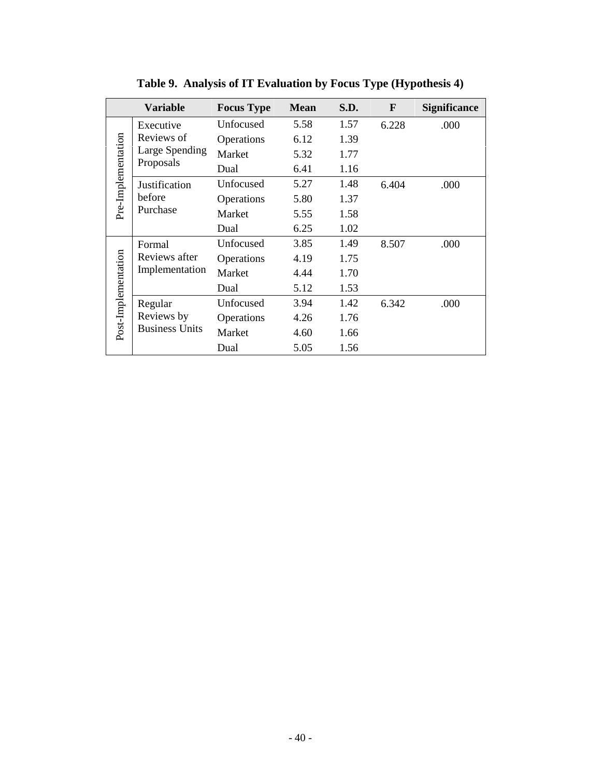|                     | Variable              | <b>Focus Type</b> | <b>Mean</b> | S.D. | $\mathbf F$ | <b>Significance</b> |
|---------------------|-----------------------|-------------------|-------------|------|-------------|---------------------|
|                     | Executive             | Unfocused         | 5.58        | 1.57 | 6.228       | .000                |
|                     | Reviews of            | Operations        | 6.12        | 1.39 |             |                     |
|                     | Large Spending        | Market            | 5.32        | 1.77 |             |                     |
| Pre-Implementation  | Proposals             | Dual              | 6.41        | 1.16 |             |                     |
|                     | Justification         | Unfocused         | 5.27        | 1.48 | 6.404       | .000                |
|                     | before                | Operations        | 5.80        | 1.37 |             |                     |
|                     | Purchase              | Market            | 5.55        | 1.58 |             |                     |
|                     |                       | Dual              | 6.25        | 1.02 |             |                     |
|                     | Formal                | Unfocused         | 3.85        | 1.49 | 8.507       | .000                |
|                     | Reviews after         | Operations        | 4.19        | 1.75 |             |                     |
|                     | Implementation        | Market            | 4.44        | 1.70 |             |                     |
|                     |                       | Dual              | 5.12        | 1.53 |             |                     |
|                     | Regular               | Unfocused         | 3.94        | 1.42 | 6.342       | .000                |
| Post-Implementation | Reviews by            | Operations        | 4.26        | 1.76 |             |                     |
|                     | <b>Business Units</b> | Market            | 4.60        | 1.66 |             |                     |
|                     |                       | Dual              | 5.05        | 1.56 |             |                     |

**Table 9. Analysis of IT Evaluation by Focus Type (Hypothesis 4)**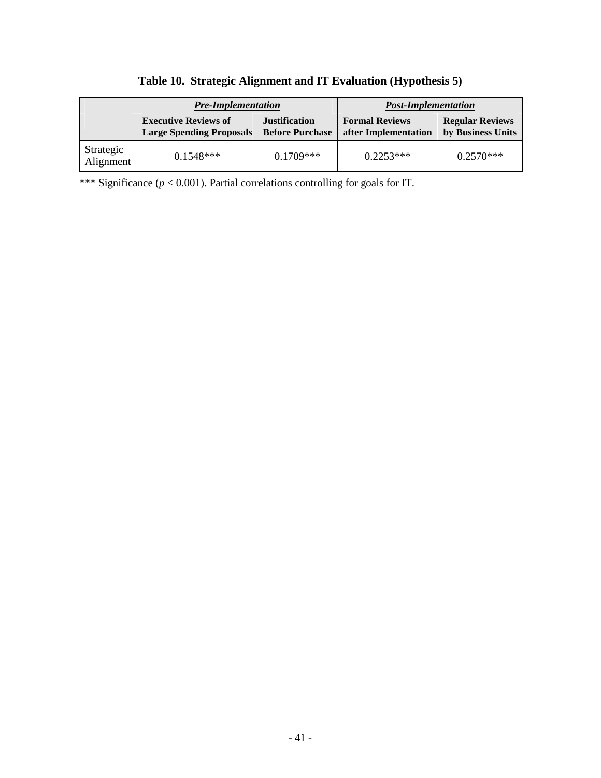|                        | <b>Pre-Implementation</b>                                      |                                                | <b>Post-Implementation</b>                    |                                             |
|------------------------|----------------------------------------------------------------|------------------------------------------------|-----------------------------------------------|---------------------------------------------|
|                        | <b>Executive Reviews of</b><br><b>Large Spending Proposals</b> | <b>Justification</b><br><b>Before Purchase</b> | <b>Formal Reviews</b><br>after Implementation | <b>Regular Reviews</b><br>by Business Units |
| Strategic<br>Alignment | $0.1548***$                                                    | $0.1709***$                                    | $0.2253***$                                   | $0.2570***$                                 |

**Table 10. Strategic Alignment and IT Evaluation (Hypothesis 5)** 

\*\*\* Significance (*p* < 0.001). Partial correlations controlling for goals for IT.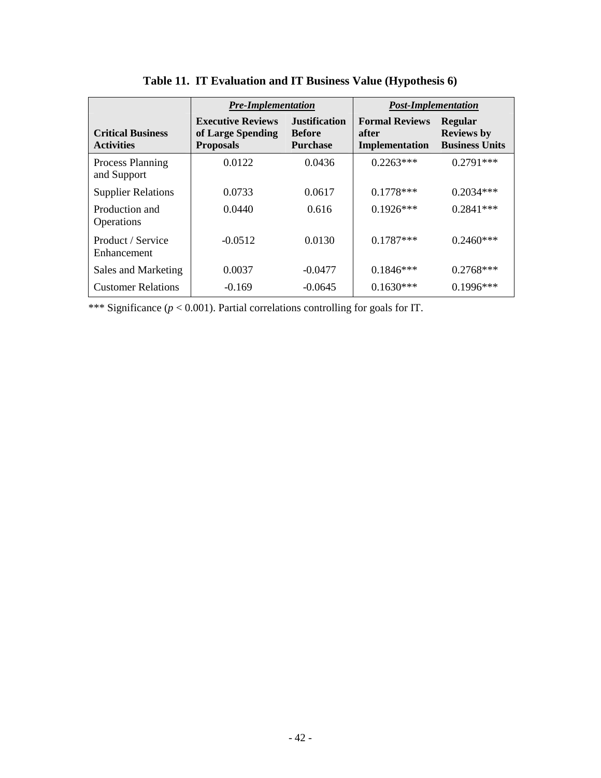|                                               | <b>Pre-Implementation</b>                                         |                                                          | <b>Post-Implementation</b>                       |                                                       |
|-----------------------------------------------|-------------------------------------------------------------------|----------------------------------------------------------|--------------------------------------------------|-------------------------------------------------------|
| <b>Critical Business</b><br><b>Activities</b> | <b>Executive Reviews</b><br>of Large Spending<br><b>Proposals</b> | <b>Justification</b><br><b>Before</b><br><b>Purchase</b> | <b>Formal Reviews</b><br>after<br>Implementation | Regular<br><b>Reviews by</b><br><b>Business Units</b> |
| <b>Process Planning</b><br>and Support        | 0.0122                                                            | 0.0436                                                   | $0.2263***$                                      | $0.2791***$                                           |
| <b>Supplier Relations</b>                     | 0.0733                                                            | 0.0617                                                   | $0.1778***$                                      | $0.2034***$                                           |
| Production and<br>Operations                  | 0.0440                                                            | 0.616                                                    | $0.1926$ ***                                     | $0.2841***$                                           |
| Product / Service<br>Enhancement              | $-0.0512$                                                         | 0.0130                                                   | $0.1787***$                                      | $0.2460***$                                           |
| Sales and Marketing                           | 0.0037                                                            | $-0.0477$                                                | $0.1846***$                                      | $0.2768***$                                           |
| <b>Customer Relations</b>                     | $-0.169$                                                          | $-0.0645$                                                | $0.1630***$                                      | $0.1996***$                                           |

**Table 11. IT Evaluation and IT Business Value (Hypothesis 6)** 

\*\*\* Significance ( $p < 0.001$ ). Partial correlations controlling for goals for IT.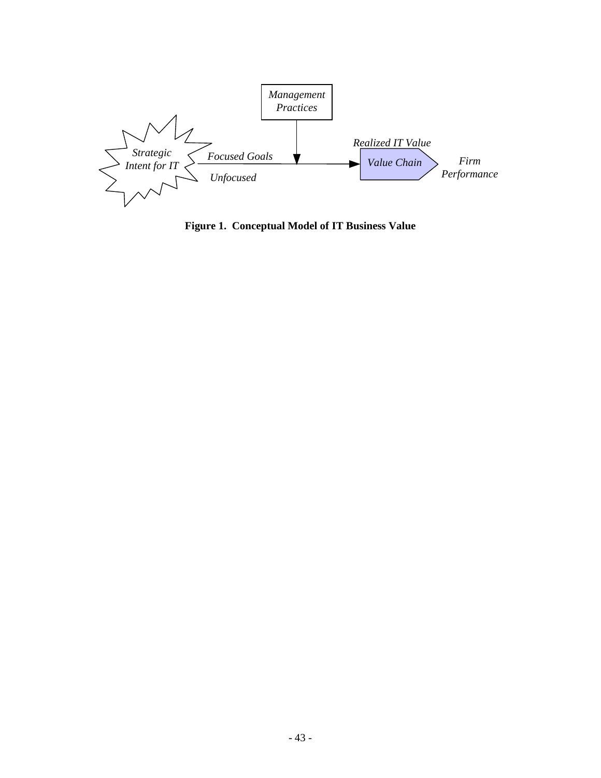

**Figure 1. Conceptual Model of IT Business Value**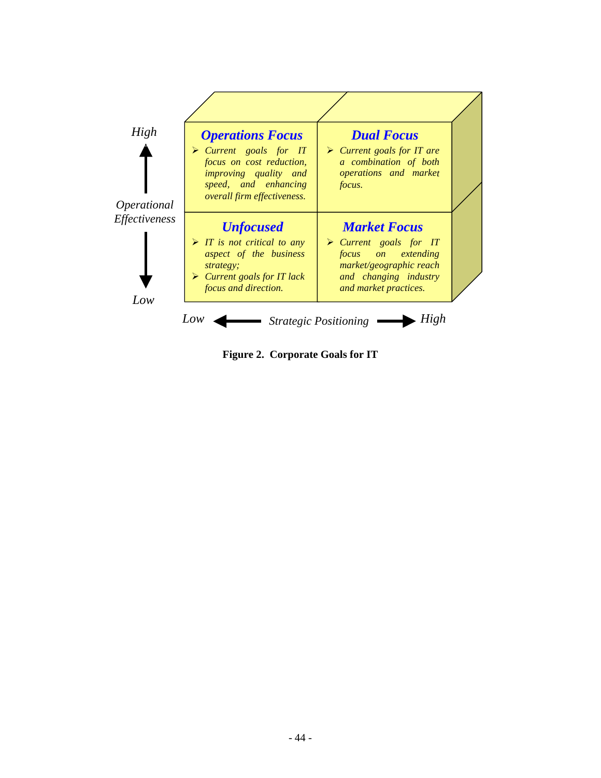![](_page_45_Figure_0.jpeg)

**Figure 2. Corporate Goals for IT**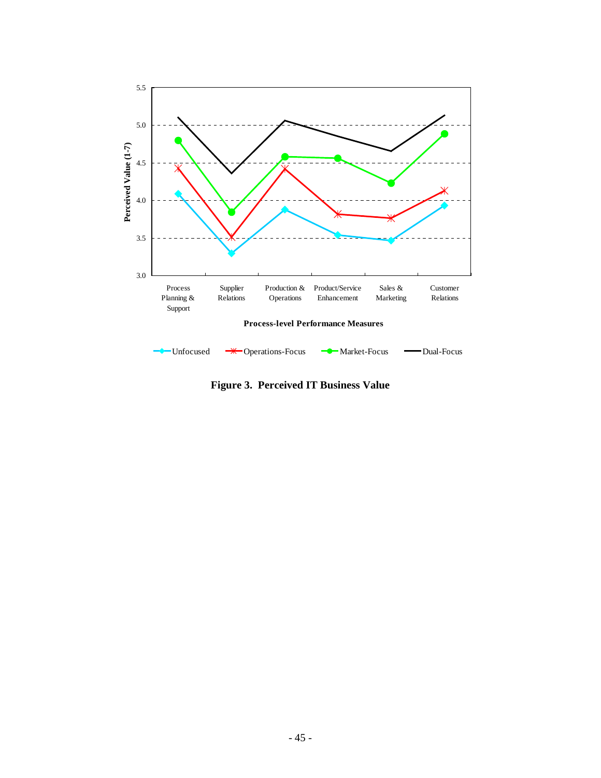![](_page_46_Figure_0.jpeg)

**Figure 3. Perceived IT Business Value**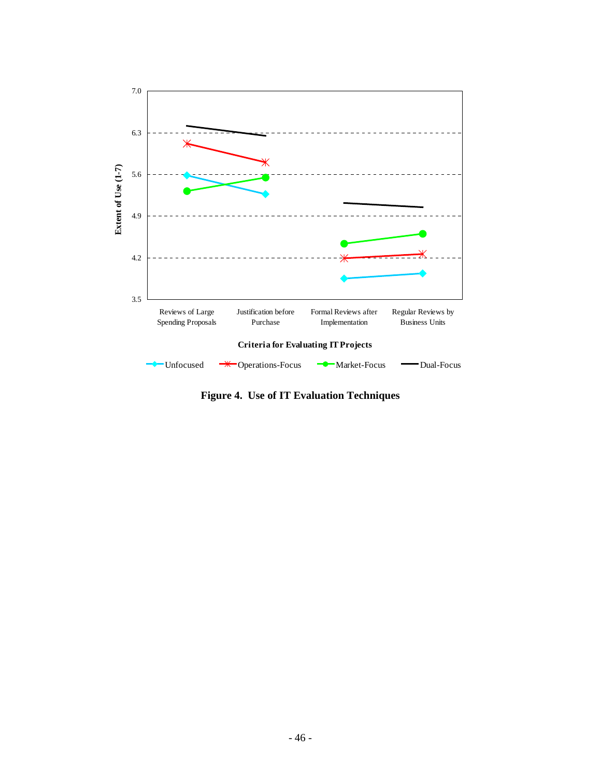![](_page_47_Figure_0.jpeg)

**Figure 4. Use of IT Evaluation Techniques**